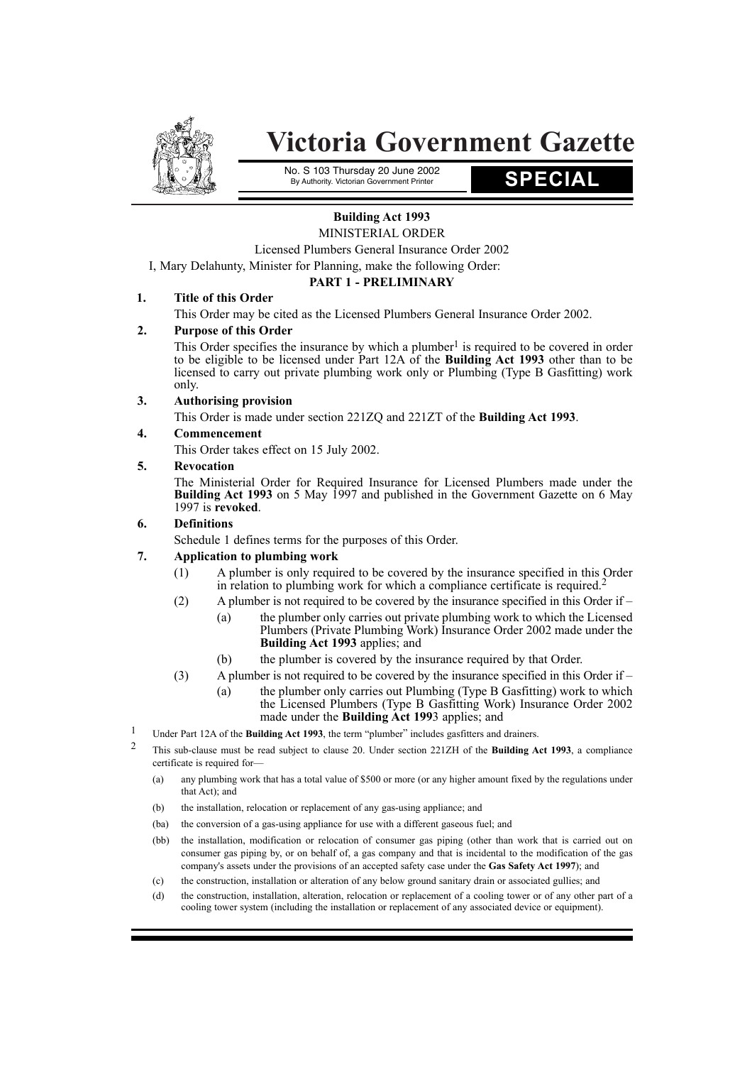

# **Victoria Government Gazette**

**No. S 103 Thursday 20 June 2002<br>
By Authority. Victorian Government Printer<br>
<b>SPECIAL** By Authority. Victorian Government Printer

#### **Building Act 1993** MINISTERIAL ORDER

Licensed Plumbers General Insurance Order 2002

I, Mary Delahunty, Minister for Planning, make the following Order:

#### **PART 1 - PRELIMINARY**

#### **11. Title of this Order**

This Order may be cited as the Licensed Plumbers General Insurance Order 2002.

#### **12. Purpose of this Order**

This Order specifies the insurance by which a plumber<sup>1</sup> is required to be covered in order to be eligible to be licensed under Part 12A of the **Building Act 1993** other than to be licensed to carry out private plumbing work only or Plumbing (Type B Gasfitting) work only.

**13. Authorising provision** This Order is made under section 221ZQ and 221ZT of the **Building Act 1993**.

#### **14. Commencement**

This Order takes effect on 15 July 2002.

#### **15. Revocation**

The Ministerial Order for Required Insurance for Licensed Plumbers made under the **Building Act 1993** on 5 May 1997 and published in the Government Gazette on 6 May 1997 is **revoked**.

#### **16. Definitions**

Schedule 1 defines terms for the purposes of this Order.

#### **17. Application to plumbing work**

- (1) A plumber is only required to be covered by the insurance specified in this Order in relation to plumbing work for which a compliance certificate is required.2
- (2) A plumber is not required to be covered by the insurance specified in this Order if
	- (a) the plumber only carries out private plumbing work to which the Licensed Plumbers (Private Plumbing Work) Insurance Order 2002 made under the **Building Act 1993** applies; and
	- (b) the plumber is covered by the insurance required by that Order.
- (3) A plumber is not required to be covered by the insurance specified in this Order if
	- (a) the plumber only carries out Plumbing (Type B Gasfitting) work to which the Licensed Plumbers (Type B Gasfitting Work) Insurance Order 2002 made under the **Building Act 199**3 applies; and
- 1 Under Part 12A of the **Building Act 1993**, the term "plumber" includes gasfitters and drainers.
- 2 This sub-clause must be read subject to clause 20. Under section 221ZH of the **Building Act 1993**, a compliance certificate is required for—
	- (a) any plumbing work that has a total value of \$500 or more (or any higher amount fixed by the regulations under that Act); and
	- (b) the installation, relocation or replacement of any gas-using appliance; and
	- (ba) the conversion of a gas-using appliance for use with a different gaseous fuel; and
	- (bb) the installation, modification or relocation of consumer gas piping (other than work that is carried out on consumer gas piping by, or on behalf of, a gas company and that is incidental to the modification of the gas company's assets under the provisions of an accepted safety case under the **Gas Safety Act 1997**); and
	- (c) the construction, installation or alteration of any below ground sanitary drain or associated gullies; and
	- (d) the construction, installation, alteration, relocation or replacement of a cooling tower or of any other part of a cooling tower system (including the installation or replacement of any associated device or equipment).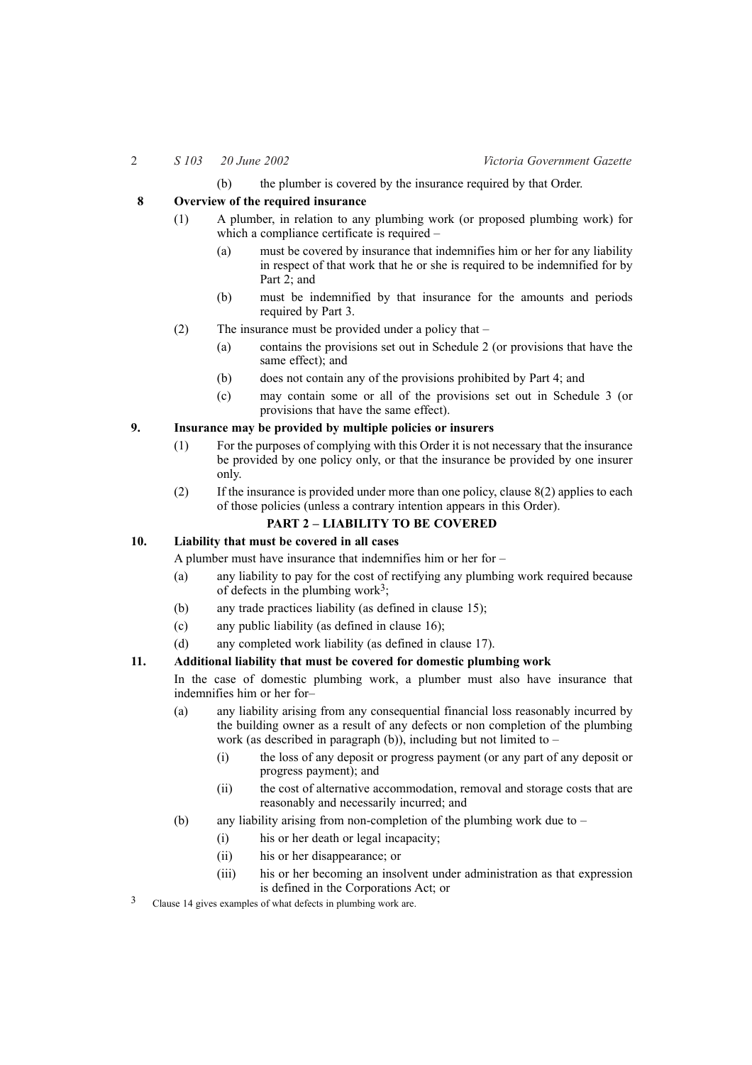(b) the plumber is covered by the insurance required by that Order.

#### **18 Overview of the required insurance**

- (1) A plumber, in relation to any plumbing work (or proposed plumbing work) for which a compliance certificate is required –
	- (a) must be covered by insurance that indemnifies him or her for any liability in respect of that work that he or she is required to be indemnified for by Part 2; and
	- (b) must be indemnified by that insurance for the amounts and periods required by Part 3.
- (2) The insurance must be provided under a policy that
	- (a) contains the provisions set out in Schedule 2 (or provisions that have the same effect); and
	- (b) does not contain any of the provisions prohibited by Part 4; and
	- (c) may contain some or all of the provisions set out in Schedule 3 (or provisions that have the same effect).

#### **9. Insurance may be provided by multiple policies or insurers**

- (1) For the purposes of complying with this Order it is not necessary that the insurance be provided by one policy only, or that the insurance be provided by one insurer only.
- (2) If the insurance is provided under more than one policy, clause 8(2) applies to each of those policies (unless a contrary intention appears in this Order).

#### **PART 2 – LIABILITY TO BE COVERED**

#### **10. Liability that must be covered in all cases**

A plumber must have insurance that indemnifies him or her for –

- (a) any liability to pay for the cost of rectifying any plumbing work required because of defects in the plumbing work<sup>3</sup>;
- (b) any trade practices liability (as defined in clause 15);
- (c) any public liability (as defined in clause 16);
- (d) any completed work liability (as defined in clause 17).

#### **11. Additional liability that must be covered for domestic plumbing work**

In the case of domestic plumbing work, a plumber must also have insurance that indemnifies him or her for–

- (a) any liability arising from any consequential financial loss reasonably incurred by the building owner as a result of any defects or non completion of the plumbing work (as described in paragraph  $(b)$ ), including but not limited to –
	- (i) the loss of any deposit or progress payment (or any part of any deposit or progress payment); and
	- (ii) the cost of alternative accommodation, removal and storage costs that are reasonably and necessarily incurred; and
- (b) any liability arising from non-completion of the plumbing work due to
	- (i) his or her death or legal incapacity;
	- (ii) his or her disappearance; or
	- (iii) his or her becoming an insolvent under administration as that expression is defined in the Corporations Act; or
- 3 Clause 14 gives examples of what defects in plumbing work are.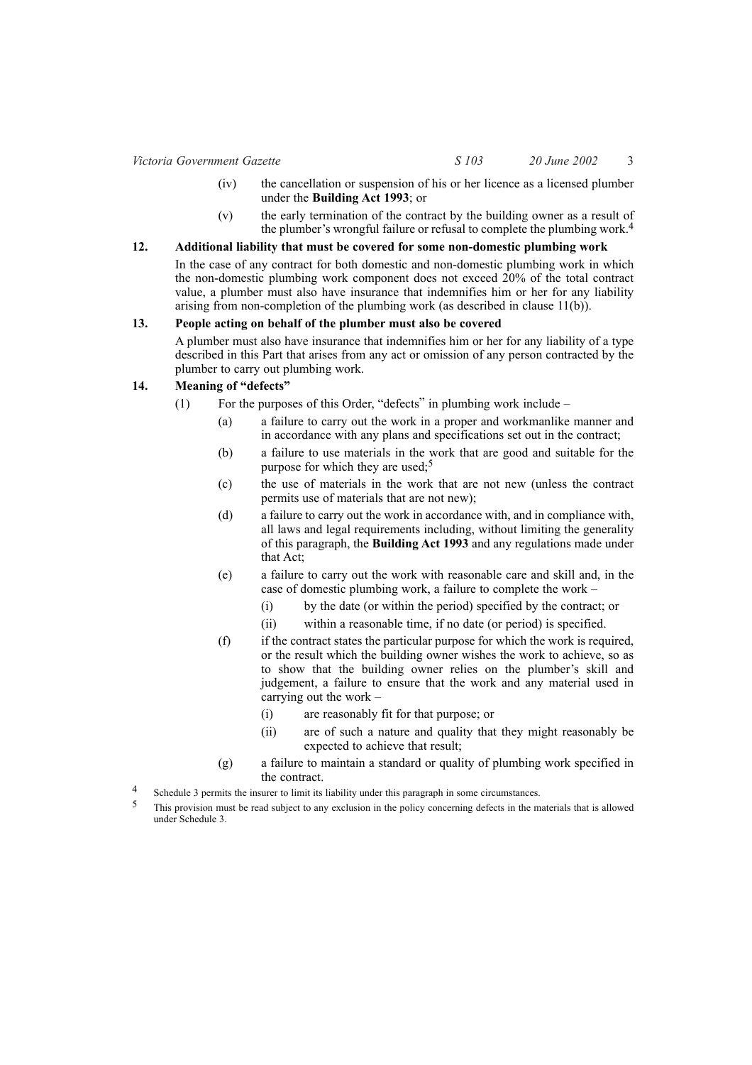- (iv) the cancellation or suspension of his or her licence as a licensed plumber under the **Building Act 1993**; or
- (v) the early termination of the contract by the building owner as a result of the plumber's wrongful failure or refusal to complete the plumbing work.4

#### **12. Additional liability that must be covered for some non-domestic plumbing work**

In the case of any contract for both domestic and non-domestic plumbing work in which the non-domestic plumbing work component does not exceed 20% of the total contract value, a plumber must also have insurance that indemnifies him or her for any liability arising from non-completion of the plumbing work (as described in clause 11(b)).

#### **13. People acting on behalf of the plumber must also be covered**

A plumber must also have insurance that indemnifies him or her for any liability of a type described in this Part that arises from any act or omission of any person contracted by the plumber to carry out plumbing work.

#### **14. Meaning of "defects"**

- (1) For the purposes of this Order, "defects" in plumbing work include
	- (a) a failure to carry out the work in a proper and workmanlike manner and in accordance with any plans and specifications set out in the contract;
	- (b) a failure to use materials in the work that are good and suitable for the purpose for which they are used;5
	- (c) the use of materials in the work that are not new (unless the contract permits use of materials that are not new);
	- (d) a failure to carry out the work in accordance with, and in compliance with, all laws and legal requirements including, without limiting the generality of this paragraph, the **Building Act 1993** and any regulations made under that Act;
	- (e) a failure to carry out the work with reasonable care and skill and, in the case of domestic plumbing work, a failure to complete the work –
		- (i) by the date (or within the period) specified by the contract; or
		- (ii) within a reasonable time, if no date (or period) is specified.
	- (f) if the contract states the particular purpose for which the work is required, or the result which the building owner wishes the work to achieve, so as to show that the building owner relies on the plumber's skill and judgement, a failure to ensure that the work and any material used in carrying out the work –
		- (i) are reasonably fit for that purpose; or
		- (ii) are of such a nature and quality that they might reasonably be expected to achieve that result;
	- (g) a failure to maintain a standard or quality of plumbing work specified in the contract.
- 4 Schedule 3 permits the insurer to limit its liability under this paragraph in some circumstances.
- 5 This provision must be read subject to any exclusion in the policy concerning defects in the materials that is allowed under Schedule 3.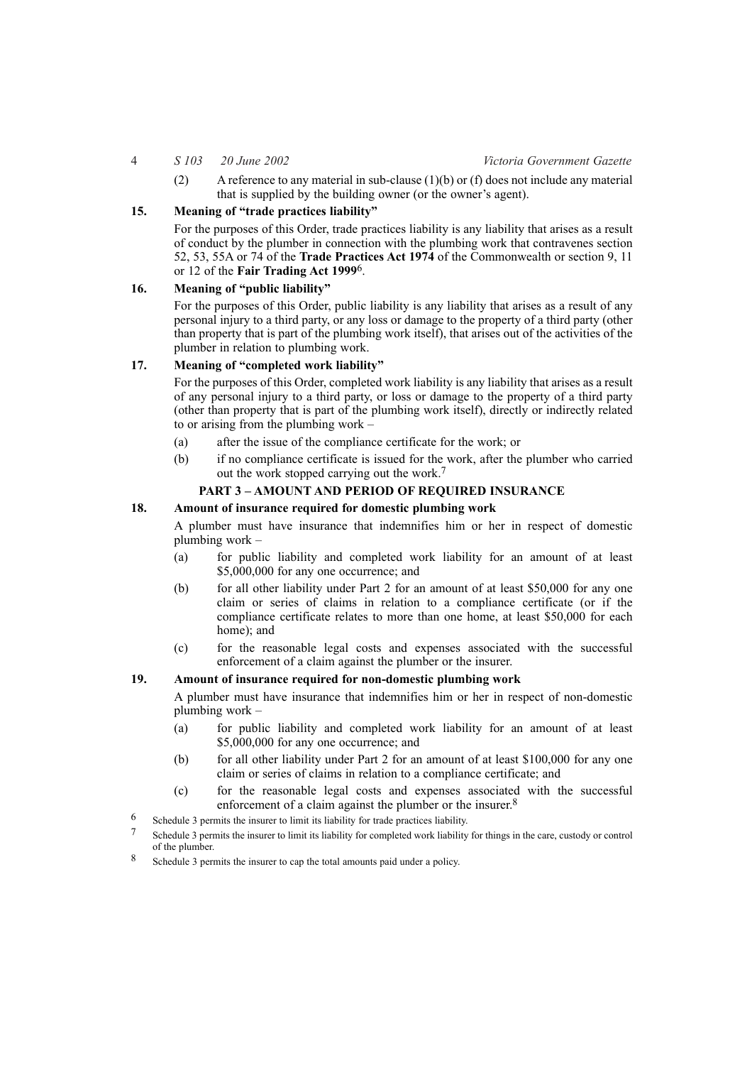(2) A reference to any material in sub-clause (1)(b) or (f) does not include any material that is supplied by the building owner (or the owner's agent).

#### **15. Meaning of "trade practices liability"**

For the purposes of this Order, trade practices liability is any liability that arises as a result of conduct by the plumber in connection with the plumbing work that contravenes section 52, 53, 55A or 74 of the **Trade Practices Act 1974** of the Commonwealth or section 9, 11 or 12 of the **Fair Trading Act 1999**6.

#### **16. Meaning of "public liability"**

For the purposes of this Order, public liability is any liability that arises as a result of any personal injury to a third party, or any loss or damage to the property of a third party (other than property that is part of the plumbing work itself), that arises out of the activities of the plumber in relation to plumbing work.

#### **17. Meaning of "completed work liability"**

For the purposes of this Order, completed work liability is any liability that arises as a result of any personal injury to a third party, or loss or damage to the property of a third party (other than property that is part of the plumbing work itself), directly or indirectly related to or arising from the plumbing work –

- (a) after the issue of the compliance certificate for the work; or
- (b) if no compliance certificate is issued for the work, after the plumber who carried out the work stopped carrying out the work.7

### **PART 3 – AMOUNT AND PERIOD OF REQUIRED INSURANCE**

#### **18. Amount of insurance required for domestic plumbing work**

A plumber must have insurance that indemnifies him or her in respect of domestic plumbing work –

- (a) for public liability and completed work liability for an amount of at least \$5,000,000 for any one occurrence; and
- (b) for all other liability under Part 2 for an amount of at least \$50,000 for any one claim or series of claims in relation to a compliance certificate (or if the compliance certificate relates to more than one home, at least \$50,000 for each home); and
- (c) for the reasonable legal costs and expenses associated with the successful enforcement of a claim against the plumber or the insurer.

#### **19. Amount of insurance required for non-domestic plumbing work**

A plumber must have insurance that indemnifies him or her in respect of non-domestic plumbing work –

- (a) for public liability and completed work liability for an amount of at least \$5,000,000 for any one occurrence; and
- (b) for all other liability under Part 2 for an amount of at least \$100,000 for any one claim or series of claims in relation to a compliance certificate; and
- (c) for the reasonable legal costs and expenses associated with the successful enforcement of a claim against the plumber or the insurer.<sup>8</sup>
- 6 Schedule 3 permits the insurer to limit its liability for trade practices liability.
- <sup>7</sup> Schedule 3 permits the insurer to limit its liability for completed work liability for things in the care, custody or control of the plumber.
- 8 Schedule 3 permits the insurer to cap the total amounts paid under a policy.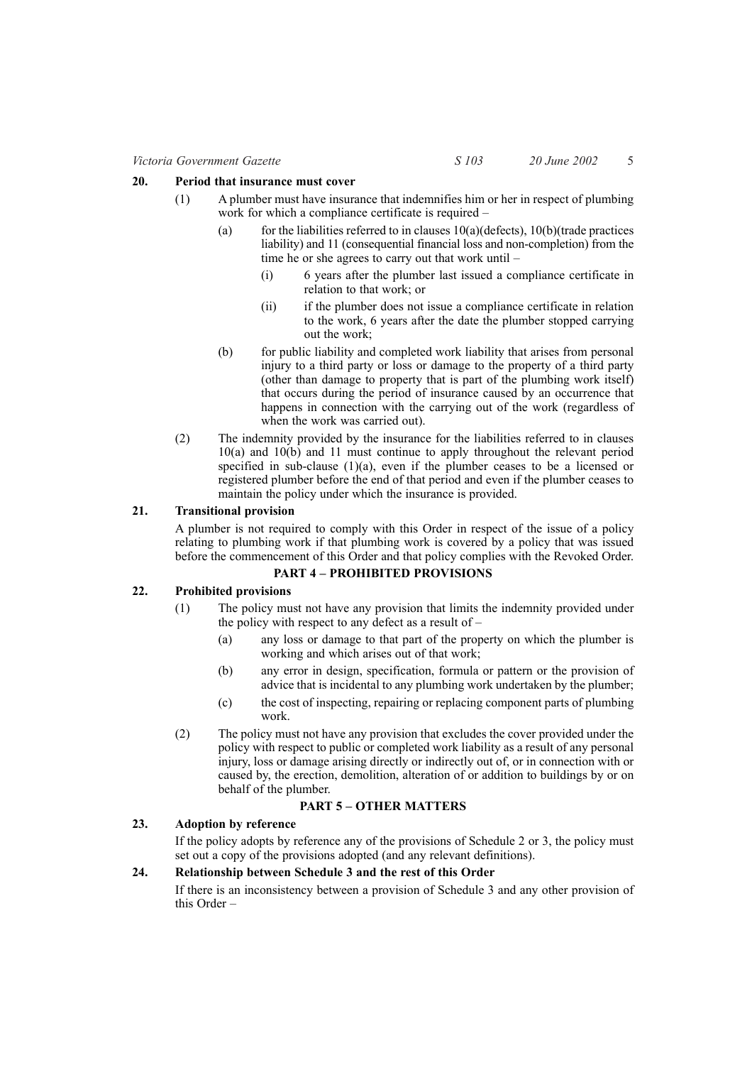#### **20. Period that insurance must cover**

- (1) A plumber must have insurance that indemnifies him or her in respect of plumbing work for which a compliance certificate is required –
	- (a) for the liabilities referred to in clauses  $10(a)(\text{defects})$ ,  $10(b)(\text{trade practices})$ liability) and 11 (consequential financial loss and non-completion) from the time he or she agrees to carry out that work until –
		- (i) 6 years after the plumber last issued a compliance certificate in relation to that work; or
		- (ii) if the plumber does not issue a compliance certificate in relation to the work, 6 years after the date the plumber stopped carrying out the work;
	- (b) for public liability and completed work liability that arises from personal injury to a third party or loss or damage to the property of a third party (other than damage to property that is part of the plumbing work itself) that occurs during the period of insurance caused by an occurrence that happens in connection with the carrying out of the work (regardless of when the work was carried out).
- (2) The indemnity provided by the insurance for the liabilities referred to in clauses 10(a) and 10(b) and 11 must continue to apply throughout the relevant period specified in sub-clause (1)(a), even if the plumber ceases to be a licensed or registered plumber before the end of that period and even if the plumber ceases to maintain the policy under which the insurance is provided.

#### **21. Transitional provision**

A plumber is not required to comply with this Order in respect of the issue of a policy relating to plumbing work if that plumbing work is covered by a policy that was issued before the commencement of this Order and that policy complies with the Revoked Order.

#### **PART 4 – PROHIBITED PROVISIONS**

#### **22. Prohibited provisions**

- (1) The policy must not have any provision that limits the indemnity provided under the policy with respect to any defect as a result of –
	- (a) any loss or damage to that part of the property on which the plumber is working and which arises out of that work;
	- (b) any error in design, specification, formula or pattern or the provision of advice that is incidental to any plumbing work undertaken by the plumber;
	- (c) the cost of inspecting, repairing or replacing component parts of plumbing work.
- (2) The policy must not have any provision that excludes the cover provided under the policy with respect to public or completed work liability as a result of any personal injury, loss or damage arising directly or indirectly out of, or in connection with or caused by, the erection, demolition, alteration of or addition to buildings by or on behalf of the plumber.

#### **PART 5 – OTHER MATTERS**

#### **23. Adoption by reference**

If the policy adopts by reference any of the provisions of Schedule 2 or 3, the policy must set out a copy of the provisions adopted (and any relevant definitions).

#### **24. Relationship between Schedule 3 and the rest of this Order**

If there is an inconsistency between a provision of Schedule 3 and any other provision of this Order –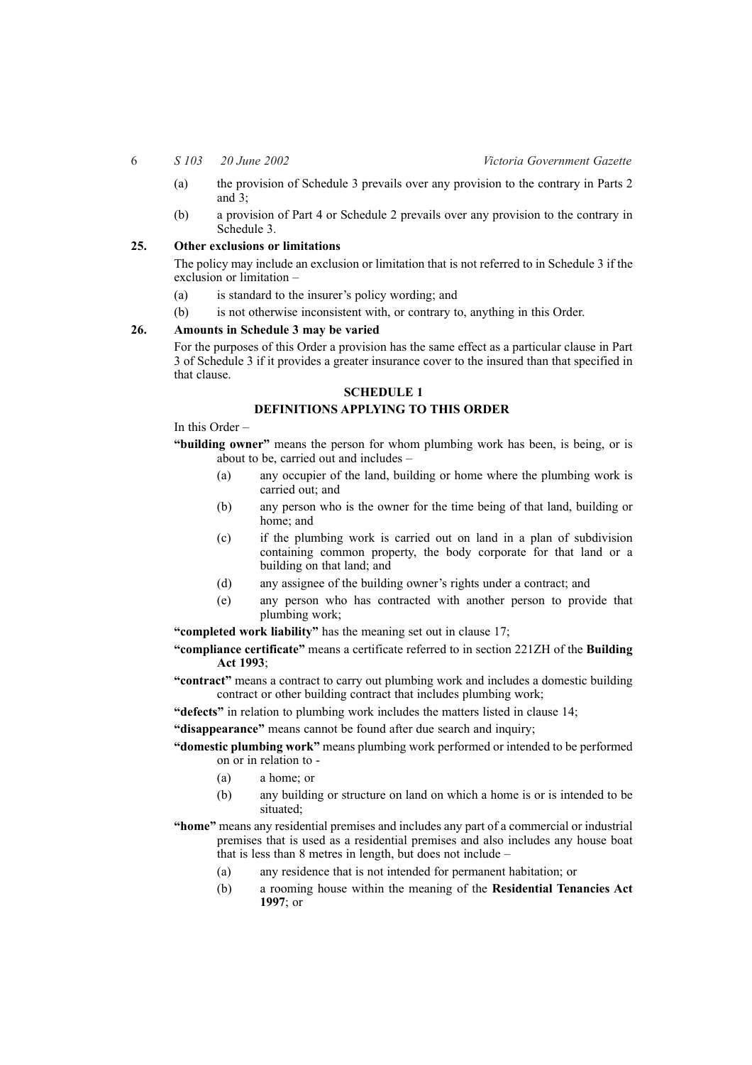- (a) the provision of Schedule 3 prevails over any provision to the contrary in Parts 2 and 3;
- (b) a provision of Part 4 or Schedule 2 prevails over any provision to the contrary in Schedule 3.

#### **25. Other exclusions or limitations**

The policy may include an exclusion or limitation that is not referred to in Schedule 3 if the exclusion or limitation –

- (a) is standard to the insurer's policy wording; and
- (b) is not otherwise inconsistent with, or contrary to, anything in this Order.

#### **26. Amounts in Schedule 3 may be varied**

For the purposes of this Order a provision has the same effect as a particular clause in Part 3 of Schedule 3 if it provides a greater insurance cover to the insured than that specified in that clause.

#### **SCHEDULE 1**

#### **DEFINITIONS APPLYING TO THIS ORDER**

#### In this Order –

**"building owner"** means the person for whom plumbing work has been, is being, or is about to be, carried out and includes –

- (a) any occupier of the land, building or home where the plumbing work is carried out; and
- (b) any person who is the owner for the time being of that land, building or home; and
- (c) if the plumbing work is carried out on land in a plan of subdivision containing common property, the body corporate for that land or a building on that land; and
- (d) any assignee of the building owner's rights under a contract; and
- (e) any person who has contracted with another person to provide that plumbing work;

**"completed work liability"** has the meaning set out in clause 17;

- **"compliance certificate"** means a certificate referred to in section 221ZH of the **Building Act 1993**;
- **"contract"** means a contract to carry out plumbing work and includes a domestic building contract or other building contract that includes plumbing work;
- **"defects"** in relation to plumbing work includes the matters listed in clause 14;
- **"disappearance"** means cannot be found after due search and inquiry;
- **"domestic plumbing work"** means plumbing work performed or intended to be performed on or in relation to -
	- (a) a home; or
	- (b) any building or structure on land on which a home is or is intended to be situated;
- **"home"** means any residential premises and includes any part of a commercial or industrial premises that is used as a residential premises and also includes any house boat that is less than 8 metres in length, but does not include –
	- (a) any residence that is not intended for permanent habitation; or
	- (b) a rooming house within the meaning of the **Residential Tenancies Act 1997**; or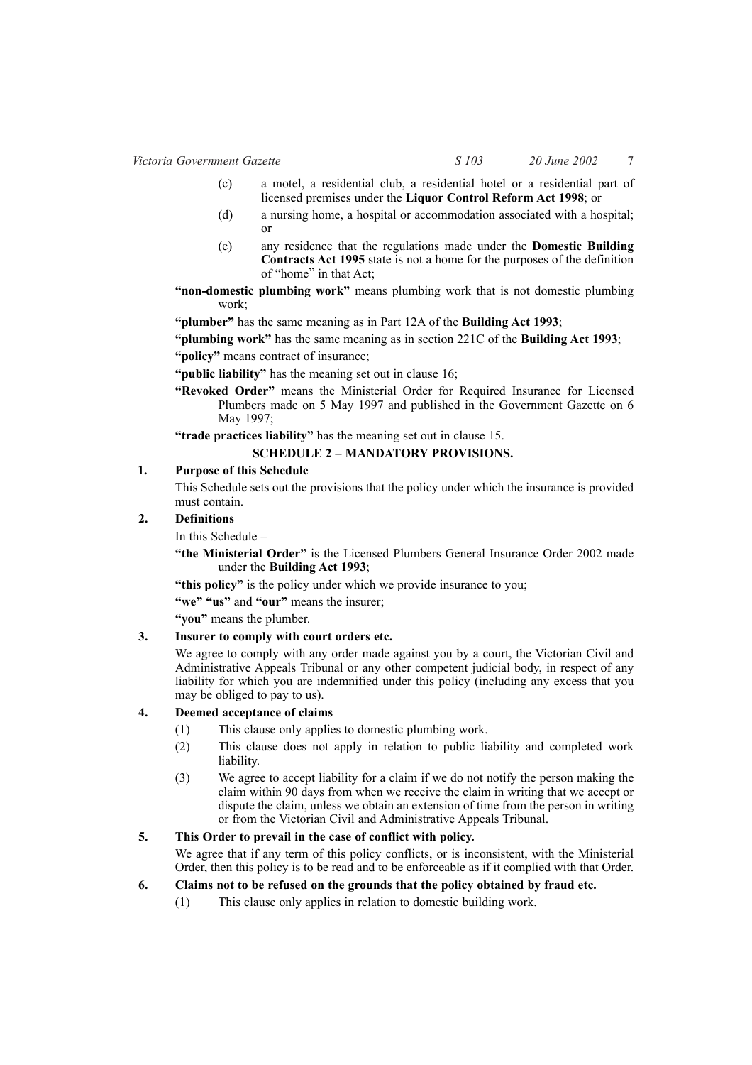- (c) a motel, a residential club, a residential hotel or a residential part of licensed premises under the **Liquor Control Reform Act 1998**; or
- (d) a nursing home, a hospital or accommodation associated with a hospital; or
- (e) any residence that the regulations made under the **Domestic Building Contracts Act 1995** state is not a home for the purposes of the definition of "home" in that Act;
- **"non-domestic plumbing work"** means plumbing work that is not domestic plumbing work;

**"plumber"** has the same meaning as in Part 12A of the **Building Act 1993**;

**"plumbing work"** has the same meaning as in section 221C of the **Building Act 1993**;

**"policy"** means contract of insurance;

**"public liability"** has the meaning set out in clause 16;

**"Revoked Order"** means the Ministerial Order for Required Insurance for Licensed Plumbers made on 5 May 1997 and published in the Government Gazette on 6 May 1997;

**"trade practices liability"** has the meaning set out in clause 15.

#### **SCHEDULE 2 – MANDATORY PROVISIONS.**

#### **11. Purpose of this Schedule**

This Schedule sets out the provisions that the policy under which the insurance is provided must contain.

#### **12. Definitions**

In this Schedule –

#### **"the Ministerial Order"** is the Licensed Plumbers General Insurance Order 2002 made under the **Building Act 1993**;

**"this policy"** is the policy under which we provide insurance to you;

**"we" "us"** and **"our"** means the insurer;

**"you"** means the plumber.

#### **13. Insurer to comply with court orders etc.**

We agree to comply with any order made against you by a court, the Victorian Civil and Administrative Appeals Tribunal or any other competent judicial body, in respect of any liability for which you are indemnified under this policy (including any excess that you may be obliged to pay to us).

#### **14. Deemed acceptance of claims**

- (1) This clause only applies to domestic plumbing work.
- (2) This clause does not apply in relation to public liability and completed work liability.
- (3) We agree to accept liability for a claim if we do not notify the person making the claim within 90 days from when we receive the claim in writing that we accept or dispute the claim, unless we obtain an extension of time from the person in writing or from the Victorian Civil and Administrative Appeals Tribunal.

#### **15. This Order to prevail in the case of conflict with policy.**

We agree that if any term of this policy conflicts, or is inconsistent, with the Ministerial Order, then this policy is to be read and to be enforceable as if it complied with that Order.

#### **16. Claims not to be refused on the grounds that the policy obtained by fraud etc.**

(1) This clause only applies in relation to domestic building work.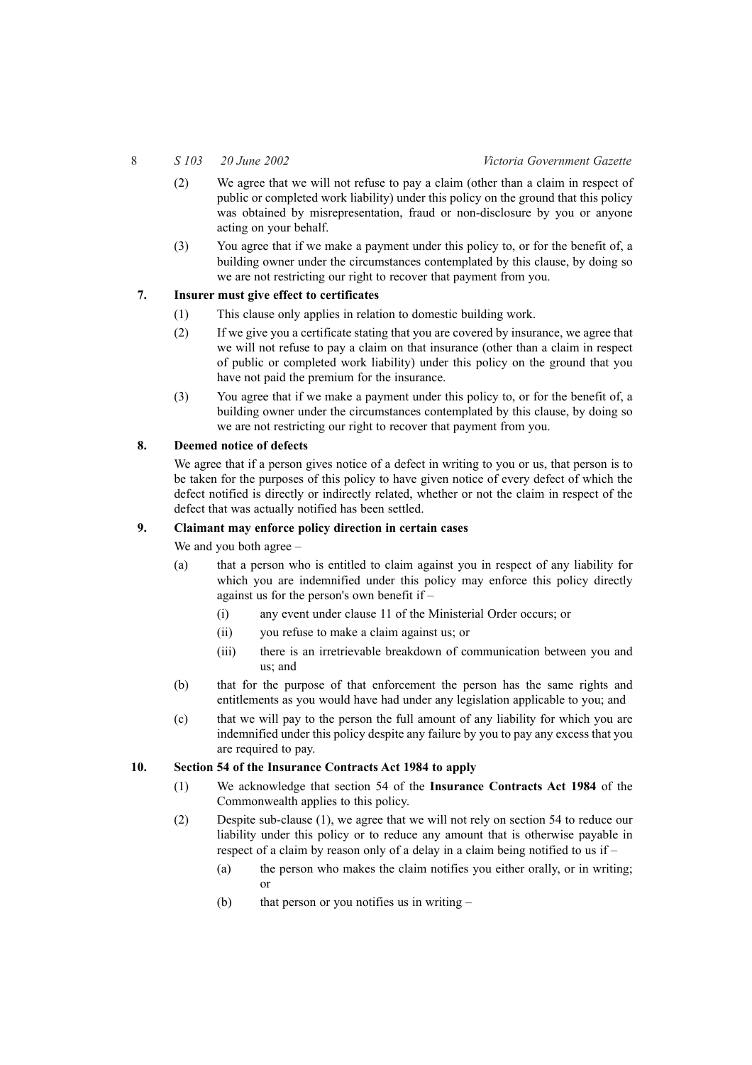- (2) We agree that we will not refuse to pay a claim (other than a claim in respect of public or completed work liability) under this policy on the ground that this policy was obtained by misrepresentation, fraud or non-disclosure by you or anyone acting on your behalf.
- (3) You agree that if we make a payment under this policy to, or for the benefit of, a building owner under the circumstances contemplated by this clause, by doing so we are not restricting our right to recover that payment from you.

#### **17. Insurer must give effect to certificates**

- (1) This clause only applies in relation to domestic building work.
- (2) If we give you a certificate stating that you are covered by insurance, we agree that we will not refuse to pay a claim on that insurance (other than a claim in respect of public or completed work liability) under this policy on the ground that you have not paid the premium for the insurance.
- (3) You agree that if we make a payment under this policy to, or for the benefit of, a building owner under the circumstances contemplated by this clause, by doing so we are not restricting our right to recover that payment from you.

#### **18. Deemed notice of defects**

We agree that if a person gives notice of a defect in writing to you or us, that person is to be taken for the purposes of this policy to have given notice of every defect of which the defect notified is directly or indirectly related, whether or not the claim in respect of the defect that was actually notified has been settled.

#### **19. Claimant may enforce policy direction in certain cases**

We and you both agree –

- (a) that a person who is entitled to claim against you in respect of any liability for which you are indemnified under this policy may enforce this policy directly against us for the person's own benefit if –
	- (i) any event under clause 11 of the Ministerial Order occurs; or
	- (ii) you refuse to make a claim against us; or
	- (iii) there is an irretrievable breakdown of communication between you and us; and
- (b) that for the purpose of that enforcement the person has the same rights and entitlements as you would have had under any legislation applicable to you; and
- (c) that we will pay to the person the full amount of any liability for which you are indemnified under this policy despite any failure by you to pay any excess that you are required to pay.

#### **10. Section 54 of the Insurance Contracts Act 1984 to apply**

- (1) We acknowledge that section 54 of the **Insurance Contracts Act 1984** of the Commonwealth applies to this policy.
- (2) Despite sub-clause (1), we agree that we will not rely on section 54 to reduce our liability under this policy or to reduce any amount that is otherwise payable in respect of a claim by reason only of a delay in a claim being notified to us if –
	- (a) the person who makes the claim notifies you either orally, or in writing; or
	- (b) that person or you notifies us in writing –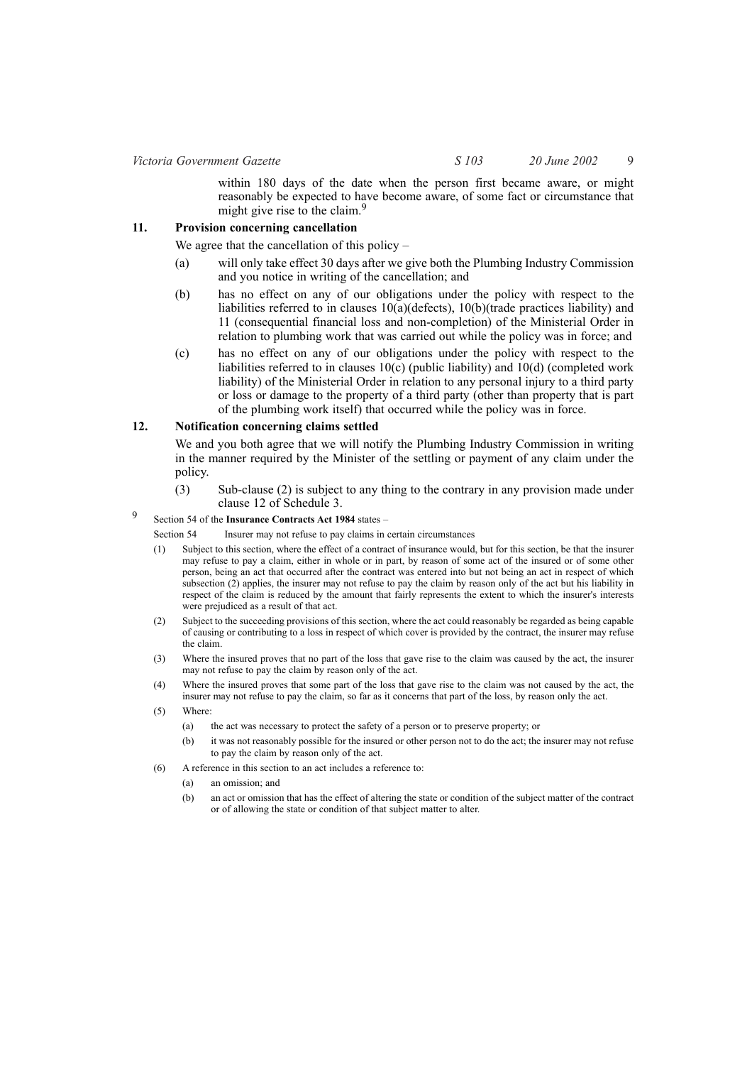within 180 days of the date when the person first became aware, or might reasonably be expected to have become aware, of some fact or circumstance that might give rise to the claim.<sup>9</sup>

#### **11. Provision concerning cancellation**

We agree that the cancellation of this policy –

- (a) will only take effect 30 days after we give both the Plumbing Industry Commission and you notice in writing of the cancellation; and
- (b) has no effect on any of our obligations under the policy with respect to the liabilities referred to in clauses 10(a)(defects), 10(b)(trade practices liability) and 11 (consequential financial loss and non-completion) of the Ministerial Order in relation to plumbing work that was carried out while the policy was in force; and
- (c) has no effect on any of our obligations under the policy with respect to the liabilities referred to in clauses  $10(c)$  (public liability) and  $10(d)$  (completed work liability) of the Ministerial Order in relation to any personal injury to a third party or loss or damage to the property of a third party (other than property that is part of the plumbing work itself) that occurred while the policy was in force.

#### **12. Notification concerning claims settled**

We and you both agree that we will notify the Plumbing Industry Commission in writing in the manner required by the Minister of the settling or payment of any claim under the policy.

(3) Sub-clause (2) is subject to any thing to the contrary in any provision made under clause 12 of Schedule 3.

#### 9 Section 54 of the **Insurance Contracts Act 1984** states –

Section 54 Insurer may not refuse to pay claims in certain circumstances

- (1) Subject to this section, where the effect of a contract of insurance would, but for this section, be that the insurer may refuse to pay a claim, either in whole or in part, by reason of some act of the insured or of some other person, being an act that occurred after the contract was entered into but not being an act in respect of which subsection (2) applies, the insurer may not refuse to pay the claim by reason only of the act but his liability in respect of the claim is reduced by the amount that fairly represents the extent to which the insurer's interests were prejudiced as a result of that act.
- (2) Subject to the succeeding provisions of this section, where the act could reasonably be regarded as being capable of causing or contributing to a loss in respect of which cover is provided by the contract, the insurer may refuse the claim.
- (3) Where the insured proves that no part of the loss that gave rise to the claim was caused by the act, the insurer may not refuse to pay the claim by reason only of the act.
- (4) Where the insured proves that some part of the loss that gave rise to the claim was not caused by the act, the insurer may not refuse to pay the claim, so far as it concerns that part of the loss, by reason only the act.
- (5) Where:
	- (a) the act was necessary to protect the safety of a person or to preserve property; or
	- (b) it was not reasonably possible for the insured or other person not to do the act; the insurer may not refuse to pay the claim by reason only of the act.
- (6) A reference in this section to an act includes a reference to:
	- (a) an omission; and
	- (b) an act or omission that has the effect of altering the state or condition of the subject matter of the contract or of allowing the state or condition of that subject matter to alter.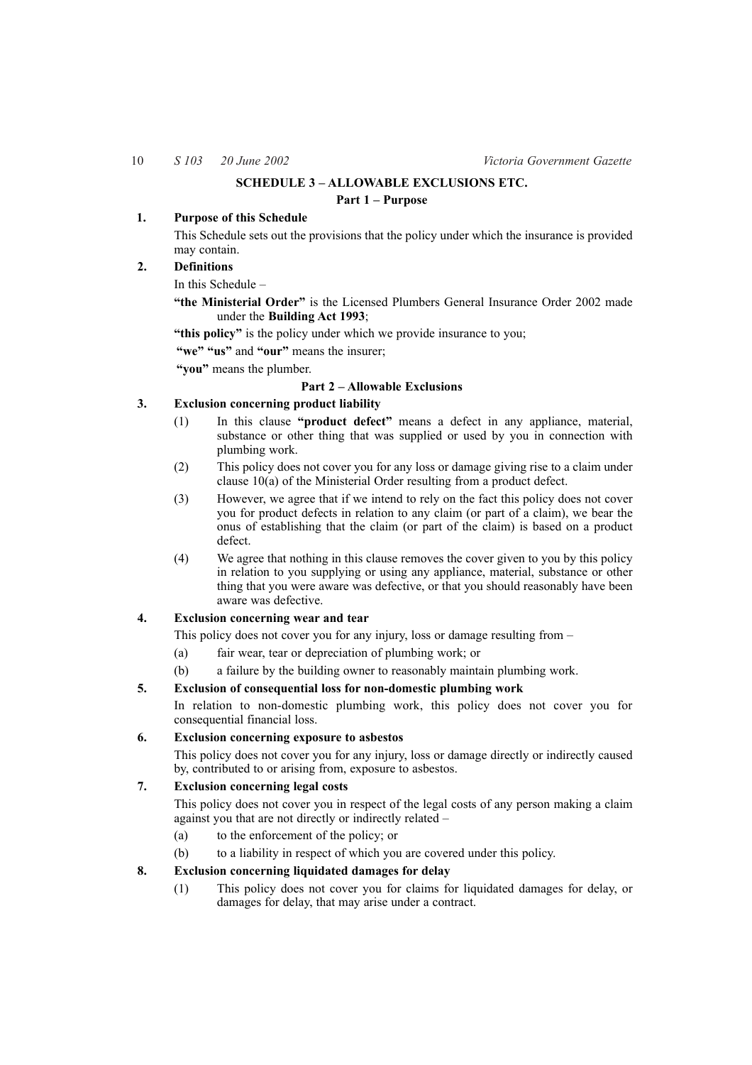#### **SCHEDULE 3 – ALLOWABLE EXCLUSIONS ETC. Part 1 – Purpose**

### **11. Purpose of this Schedule**

This Schedule sets out the provisions that the policy under which the insurance is provided may contain.

#### **12. Definitions**

In this Schedule –

**"the Ministerial Order"** is the Licensed Plumbers General Insurance Order 2002 made under the **Building Act 1993**;

**"this policy"** is the policy under which we provide insurance to you;

**"we" "us"** and **"our"** means the insurer;

**"you"** means the plumber.

#### **Part 2 – Allowable Exclusions**

#### **13. Exclusion concerning product liability**

- (1) In this clause **"product defect"** means a defect in any appliance, material, substance or other thing that was supplied or used by you in connection with plumbing work.
- (2) This policy does not cover you for any loss or damage giving rise to a claim under clause 10(a) of the Ministerial Order resulting from a product defect.
- (3) However, we agree that if we intend to rely on the fact this policy does not cover you for product defects in relation to any claim (or part of a claim), we bear the onus of establishing that the claim (or part of the claim) is based on a product defect.
- (4) We agree that nothing in this clause removes the cover given to you by this policy in relation to you supplying or using any appliance, material, substance or other thing that you were aware was defective, or that you should reasonably have been aware was defective.

### **14. Exclusion concerning wear and tear**

This policy does not cover you for any injury, loss or damage resulting from –

- (a) fair wear, tear or depreciation of plumbing work; or
- (b) a failure by the building owner to reasonably maintain plumbing work.

#### **15. Exclusion of consequential loss for non-domestic plumbing work**

In relation to non-domestic plumbing work, this policy does not cover you for consequential financial loss.

#### **16. Exclusion concerning exposure to asbestos**

This policy does not cover you for any injury, loss or damage directly or indirectly caused by, contributed to or arising from, exposure to asbestos.

#### **17. Exclusion concerning legal costs**

This policy does not cover you in respect of the legal costs of any person making a claim against you that are not directly or indirectly related –

- (a) to the enforcement of the policy; or
- (b) to a liability in respect of which you are covered under this policy.

#### **18. Exclusion concerning liquidated damages for delay**

(1) This policy does not cover you for claims for liquidated damages for delay, or damages for delay, that may arise under a contract.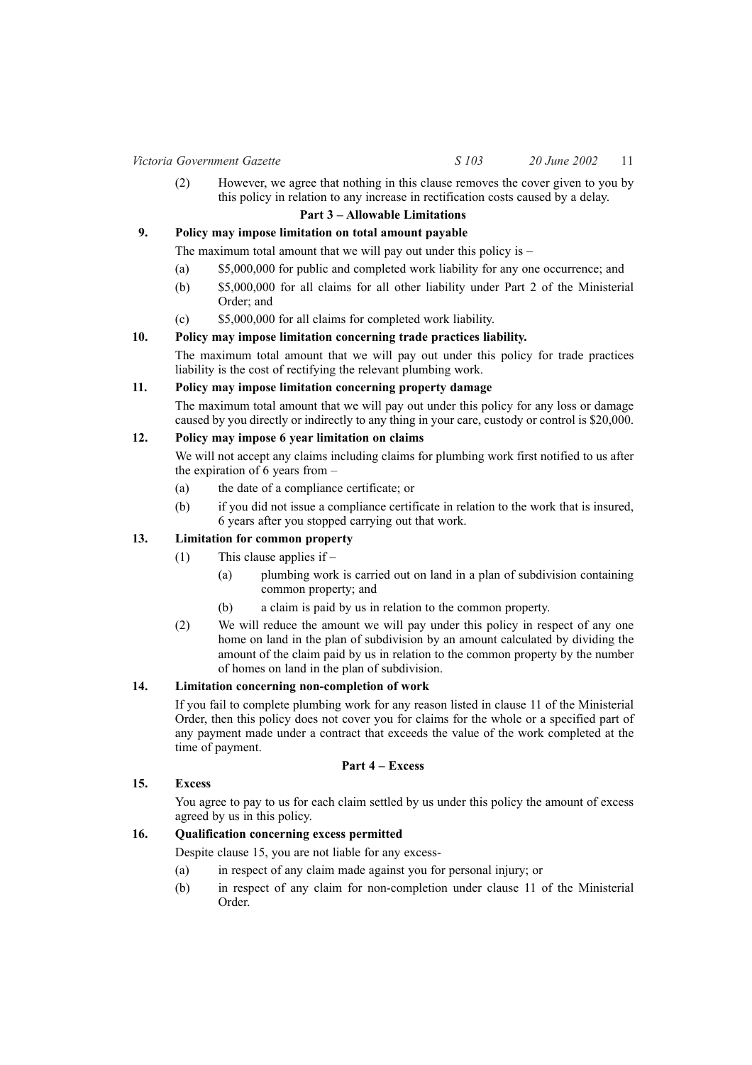- - (2) However, we agree that nothing in this clause removes the cover given to you by this policy in relation to any increase in rectification costs caused by a delay.

### **Part 3 – Allowable Limitations**

### **19. Policy may impose limitation on total amount payable**

The maximum total amount that we will pay out under this policy is –

- (a) \$5,000,000 for public and completed work liability for any one occurrence; and
- (b) \$5,000,000 for all claims for all other liability under Part 2 of the Ministerial Order; and
- (c) \$5,000,000 for all claims for completed work liability.

#### **10. Policy may impose limitation concerning trade practices liability.**

The maximum total amount that we will pay out under this policy for trade practices liability is the cost of rectifying the relevant plumbing work.

#### **11. Policy may impose limitation concerning property damage**

The maximum total amount that we will pay out under this policy for any loss or damage caused by you directly or indirectly to any thing in your care, custody or control is \$20,000.

#### **12. Policy may impose 6 year limitation on claims**

We will not accept any claims including claims for plumbing work first notified to us after the expiration of 6 years from –

- (a) the date of a compliance certificate; or
- (b) if you did not issue a compliance certificate in relation to the work that is insured, 6 years after you stopped carrying out that work.

#### **13. Limitation for common property**

- (1) This clause applies if
	- (a) plumbing work is carried out on land in a plan of subdivision containing common property; and
	- (b) a claim is paid by us in relation to the common property.
- (2) We will reduce the amount we will pay under this policy in respect of any one home on land in the plan of subdivision by an amount calculated by dividing the amount of the claim paid by us in relation to the common property by the number of homes on land in the plan of subdivision.

### **14. Limitation concerning non-completion of work**

If you fail to complete plumbing work for any reason listed in clause 11 of the Ministerial Order, then this policy does not cover you for claims for the whole or a specified part of any payment made under a contract that exceeds the value of the work completed at the time of payment.

#### **Part 4 – Excess**

#### **15. Excess**

You agree to pay to us for each claim settled by us under this policy the amount of excess agreed by us in this policy.

#### **16. Qualification concerning excess permitted**

Despite clause 15, you are not liable for any excess-

- (a) in respect of any claim made against you for personal injury; or
- (b) in respect of any claim for non-completion under clause 11 of the Ministerial Order.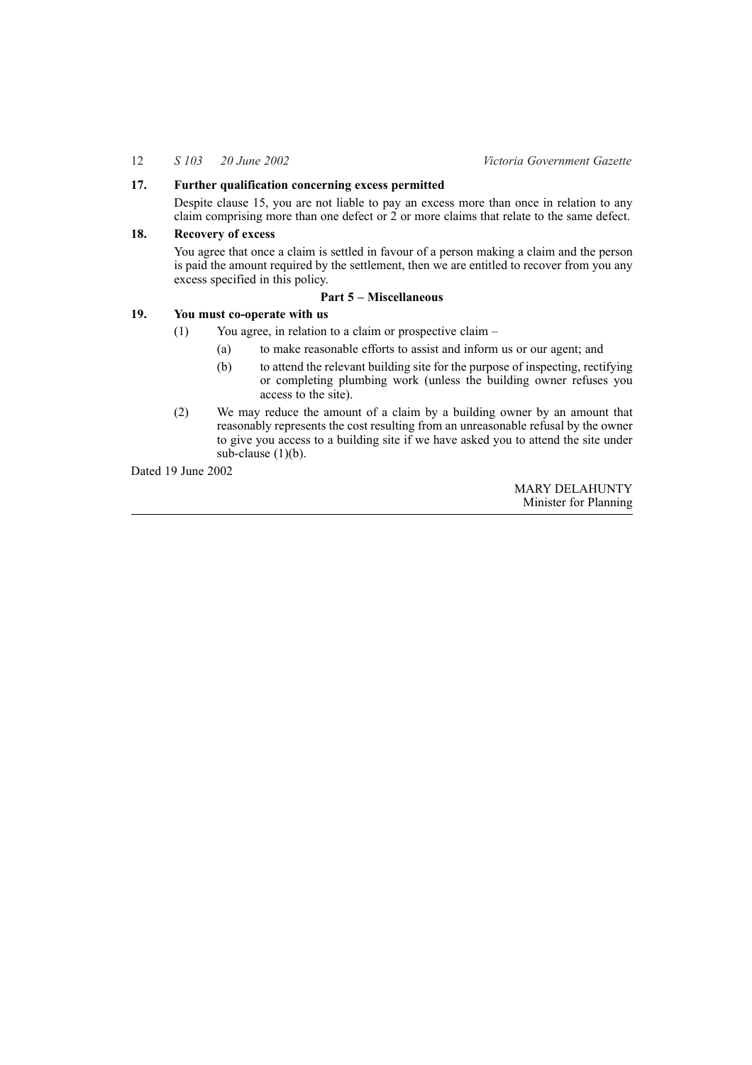#### **17. Further qualification concerning excess permitted**

Despite clause 15, you are not liable to pay an excess more than once in relation to any claim comprising more than one defect or 2 or more claims that relate to the same defect.

#### **18. Recovery of excess**

You agree that once a claim is settled in favour of a person making a claim and the person is paid the amount required by the settlement, then we are entitled to recover from you any excess specified in this policy.

#### **Part 5 – Miscellaneous**

### **19. You must co-operate with us**

- (1) You agree, in relation to a claim or prospective claim
	- (a) to make reasonable efforts to assist and inform us or our agent; and
	- (b) to attend the relevant building site for the purpose of inspecting, rectifying or completing plumbing work (unless the building owner refuses you access to the site).
- (2) We may reduce the amount of a claim by a building owner by an amount that reasonably represents the cost resulting from an unreasonable refusal by the owner to give you access to a building site if we have asked you to attend the site under sub-clause  $(1)(b)$ .

Dated 19 June 2002

MARY DELAHUNTY Minister for Planning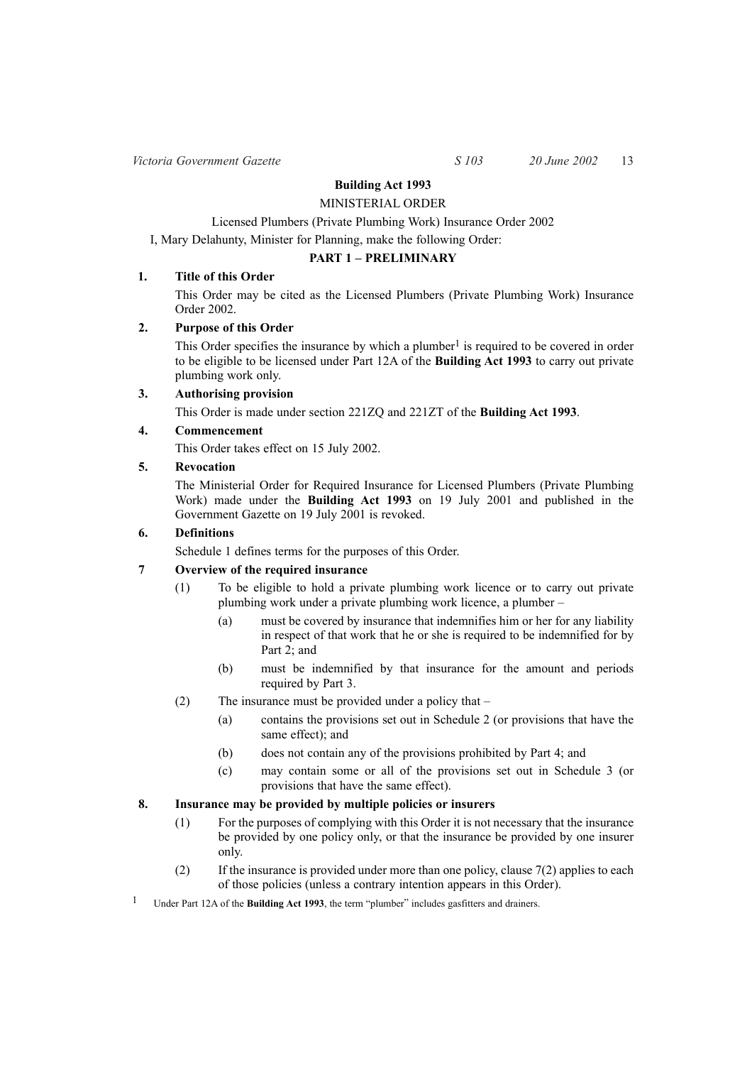#### **Building Act 1993**

#### MINISTERIAL ORDER

Licensed Plumbers (Private Plumbing Work) Insurance Order 2002

I, Mary Delahunty, Minister for Planning, make the following Order:

#### **PART 1 – PRELIMINARY**

#### **11. Title of this Order**

This Order may be cited as the Licensed Plumbers (Private Plumbing Work) Insurance Order 2002.

#### **12. Purpose of this Order**

This Order specifies the insurance by which a plumber<sup>1</sup> is required to be covered in order to be eligible to be licensed under Part 12A of the **Building Act 1993** to carry out private plumbing work only.

#### **13. Authorising provision**

This Order is made under section 221ZQ and 221ZT of the **Building Act 1993**.

#### **14. Commencement**

This Order takes effect on 15 July 2002.

#### **15. Revocation**

The Ministerial Order for Required Insurance for Licensed Plumbers (Private Plumbing Work) made under the **Building Act 1993** on 19 July 2001 and published in the Government Gazette on 19 July 2001 is revoked.

#### **16. Definitions**

Schedule 1 defines terms for the purposes of this Order.

#### **17 Overview of the required insurance**

- (1) To be eligible to hold a private plumbing work licence or to carry out private plumbing work under a private plumbing work licence, a plumber –
	- (a) must be covered by insurance that indemnifies him or her for any liability in respect of that work that he or she is required to be indemnified for by Part 2; and
	- (b) must be indemnified by that insurance for the amount and periods required by Part 3.
- (2) The insurance must be provided under a policy that
	- (a) contains the provisions set out in Schedule 2 (or provisions that have the same effect); and
	- (b) does not contain any of the provisions prohibited by Part 4; and
	- (c) may contain some or all of the provisions set out in Schedule 3 (or provisions that have the same effect).

#### **18. Insurance may be provided by multiple policies or insurers**

- (1) For the purposes of complying with this Order it is not necessary that the insurance be provided by one policy only, or that the insurance be provided by one insurer only.
- (2) If the insurance is provided under more than one policy, clause 7(2) applies to each of those policies (unless a contrary intention appears in this Order).
- 1 Under Part 12A of the **Building Act 1993**, the term "plumber" includes gasfitters and drainers.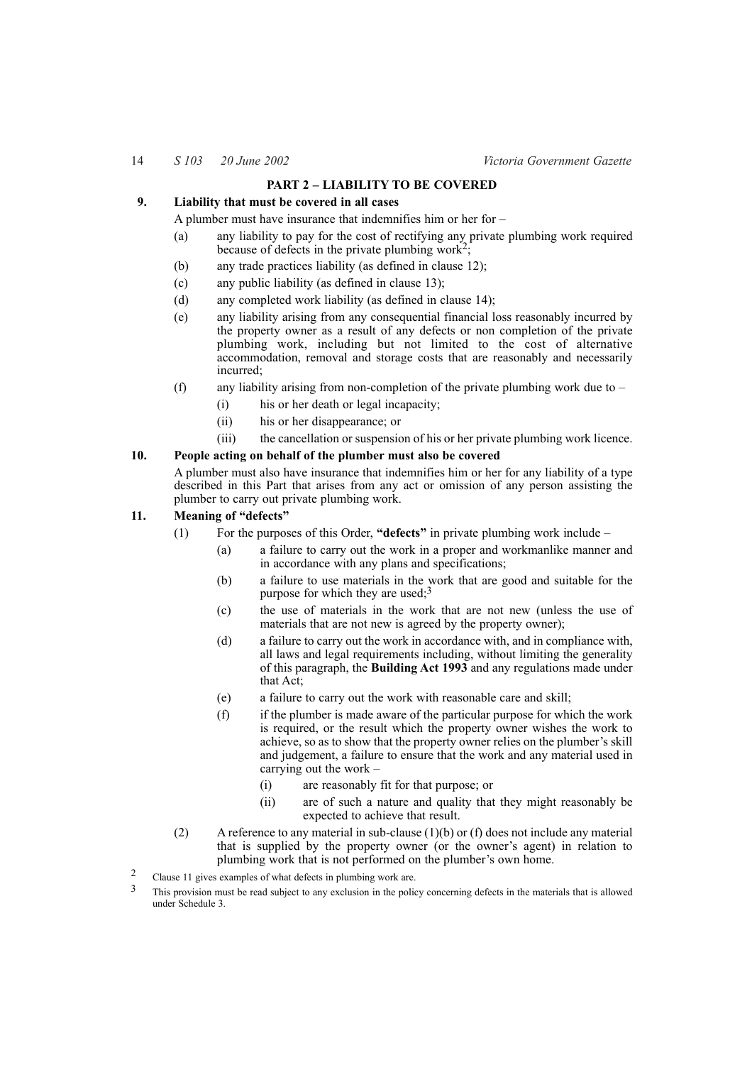#### **PART 2 – LIABILITY TO BE COVERED**

#### **19. Liability that must be covered in all cases**

A plumber must have insurance that indemnifies him or her for –

- (a) any liability to pay for the cost of rectifying any private plumbing work required because of defects in the private plumbing work2;
- (b) any trade practices liability (as defined in clause 12);
- (c) any public liability (as defined in clause 13);
- (d) any completed work liability (as defined in clause 14);
- (e) any liability arising from any consequential financial loss reasonably incurred by the property owner as a result of any defects or non completion of the private plumbing work, including but not limited to the cost of alternative accommodation, removal and storage costs that are reasonably and necessarily incurred;
- (f) any liability arising from non-completion of the private plumbing work due to
	- (i) his or her death or legal incapacity;
	- (ii) his or her disappearance; or
	- (iii) the cancellation or suspension of his or her private plumbing work licence.

#### **10. People acting on behalf of the plumber must also be covered**

A plumber must also have insurance that indemnifies him or her for any liability of a type described in this Part that arises from any act or omission of any person assisting the plumber to carry out private plumbing work.

#### **11. Meaning of "defects"**

- (1) For the purposes of this Order, **"defects"** in private plumbing work include
	- (a) a failure to carry out the work in a proper and workmanlike manner and in accordance with any plans and specifications;
	- (b) a failure to use materials in the work that are good and suitable for the purpose for which they are used: $3$
	- (c) the use of materials in the work that are not new (unless the use of materials that are not new is agreed by the property owner);
	- (d) a failure to carry out the work in accordance with, and in compliance with, all laws and legal requirements including, without limiting the generality of this paragraph, the **Building Act 1993** and any regulations made under that Act;
	- (e) a failure to carry out the work with reasonable care and skill;
	- (f) if the plumber is made aware of the particular purpose for which the work is required, or the result which the property owner wishes the work to achieve, so as to show that the property owner relies on the plumber's skill and judgement, a failure to ensure that the work and any material used in carrying out the work –
		- (i) are reasonably fit for that purpose; or
		- (ii) are of such a nature and quality that they might reasonably be expected to achieve that result.
- (2) A reference to any material in sub-clause (1)(b) or (f) does not include any material that is supplied by the property owner (or the owner's agent) in relation to plumbing work that is not performed on the plumber's own home.
- 2 Clause 11 gives examples of what defects in plumbing work are.
- 3 This provision must be read subject to any exclusion in the policy concerning defects in the materials that is allowed under Schedule 3.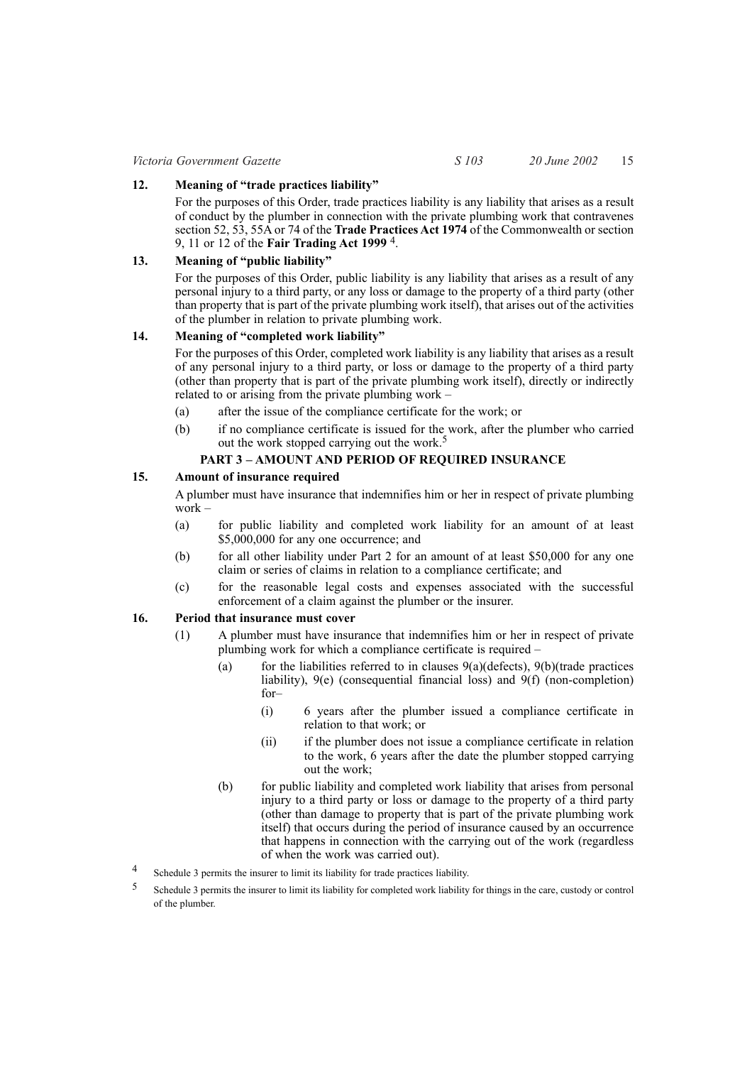#### **12. Meaning of "trade practices liability"**

For the purposes of this Order, trade practices liability is any liability that arises as a result of conduct by the plumber in connection with the private plumbing work that contravenes section 52, 53, 55A or 74 of the **Trade Practices Act 1974** of the Commonwealth or section 9, 11 or 12 of the **Fair Trading Act 1999** 4.

#### **13. Meaning of "public liability"**

For the purposes of this Order, public liability is any liability that arises as a result of any personal injury to a third party, or any loss or damage to the property of a third party (other than property that is part of the private plumbing work itself), that arises out of the activities of the plumber in relation to private plumbing work.

#### **14. Meaning of "completed work liability"**

For the purposes of this Order, completed work liability is any liability that arises as a result of any personal injury to a third party, or loss or damage to the property of a third party (other than property that is part of the private plumbing work itself), directly or indirectly related to or arising from the private plumbing work –

- (a) after the issue of the compliance certificate for the work; or
- (b) if no compliance certificate is issued for the work, after the plumber who carried out the work stopped carrying out the work.5

#### **PART 3 – AMOUNT AND PERIOD OF REQUIRED INSURANCE**

#### **15. Amount of insurance required**

A plumber must have insurance that indemnifies him or her in respect of private plumbing work –

- (a) for public liability and completed work liability for an amount of at least \$5,000,000 for any one occurrence; and
- (b) for all other liability under Part 2 for an amount of at least \$50,000 for any one claim or series of claims in relation to a compliance certificate; and
- (c) for the reasonable legal costs and expenses associated with the successful enforcement of a claim against the plumber or the insurer.

#### **16. Period that insurance must cover**

- (1) A plumber must have insurance that indemnifies him or her in respect of private plumbing work for which a compliance certificate is required –
	- (a) for the liabilities referred to in clauses  $9(a)(\text{defects})$ ,  $9(b)(\text{trade practices})$ liability), 9(e) (consequential financial loss) and 9(f) (non-completion) for–
		- (i) 6 years after the plumber issued a compliance certificate in relation to that work; or
		- (ii) if the plumber does not issue a compliance certificate in relation to the work, 6 years after the date the plumber stopped carrying out the work;
	- (b) for public liability and completed work liability that arises from personal injury to a third party or loss or damage to the property of a third party (other than damage to property that is part of the private plumbing work itself) that occurs during the period of insurance caused by an occurrence that happens in connection with the carrying out of the work (regardless of when the work was carried out).
- 4 Schedule 3 permits the insurer to limit its liability for trade practices liability.
- 5 Schedule 3 permits the insurer to limit its liability for completed work liability for things in the care, custody or control of the plumber.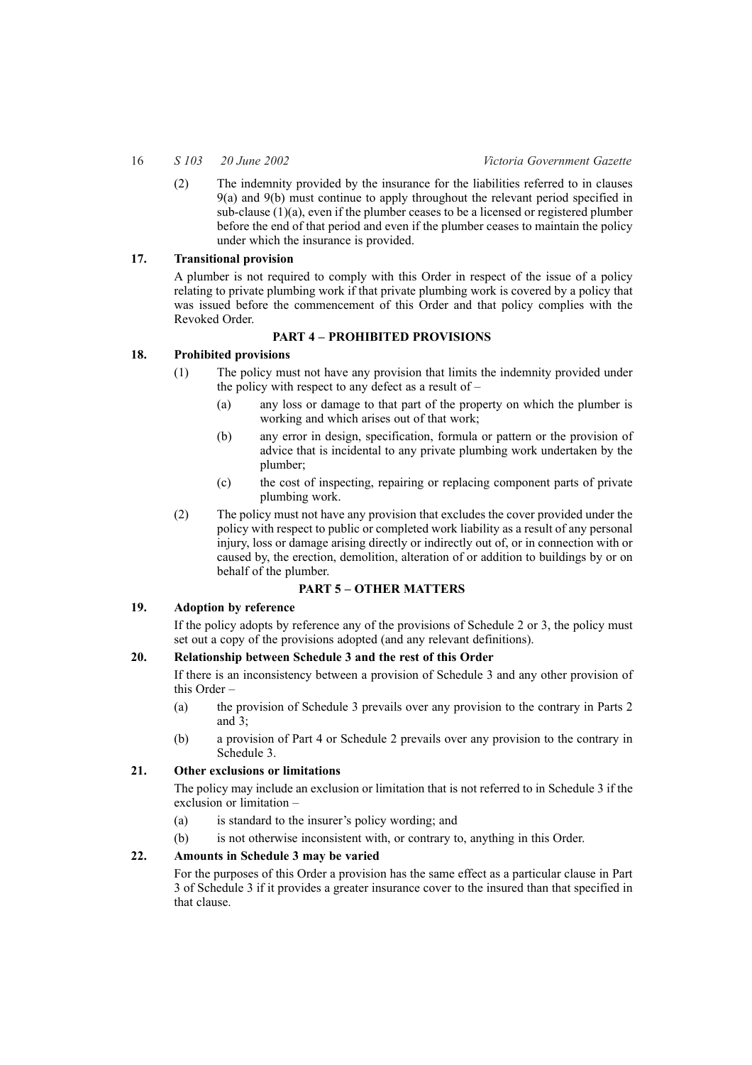(2) The indemnity provided by the insurance for the liabilities referred to in clauses 9(a) and 9(b) must continue to apply throughout the relevant period specified in sub-clause  $(1)(a)$ , even if the plumber ceases to be a licensed or registered plumber before the end of that period and even if the plumber ceases to maintain the policy under which the insurance is provided.

#### **17. Transitional provision**

A plumber is not required to comply with this Order in respect of the issue of a policy relating to private plumbing work if that private plumbing work is covered by a policy that was issued before the commencement of this Order and that policy complies with the Revoked Order.

#### **PART 4 – PROHIBITED PROVISIONS**

### **18. Prohibited provisions**

- (1) The policy must not have any provision that limits the indemnity provided under the policy with respect to any defect as a result of  $-$ 
	- (a) any loss or damage to that part of the property on which the plumber is working and which arises out of that work;
	- (b) any error in design, specification, formula or pattern or the provision of advice that is incidental to any private plumbing work undertaken by the plumber;
	- (c) the cost of inspecting, repairing or replacing component parts of private plumbing work.
- (2) The policy must not have any provision that excludes the cover provided under the policy with respect to public or completed work liability as a result of any personal injury, loss or damage arising directly or indirectly out of, or in connection with or caused by, the erection, demolition, alteration of or addition to buildings by or on behalf of the plumber.

#### **PART 5 – OTHER MATTERS**

#### **19. Adoption by reference**

If the policy adopts by reference any of the provisions of Schedule 2 or 3, the policy must set out a copy of the provisions adopted (and any relevant definitions).

#### **20. Relationship between Schedule 3 and the rest of this Order**

If there is an inconsistency between a provision of Schedule 3 and any other provision of this Order –

- (a) the provision of Schedule 3 prevails over any provision to the contrary in Parts 2 and 3;
- (b) a provision of Part 4 or Schedule 2 prevails over any provision to the contrary in Schedule 3.

#### **21. Other exclusions or limitations**

The policy may include an exclusion or limitation that is not referred to in Schedule 3 if the exclusion or limitation –

- (a) is standard to the insurer's policy wording; and
- (b) is not otherwise inconsistent with, or contrary to, anything in this Order.

#### **22. Amounts in Schedule 3 may be varied**

For the purposes of this Order a provision has the same effect as a particular clause in Part 3 of Schedule 3 if it provides a greater insurance cover to the insured than that specified in that clause.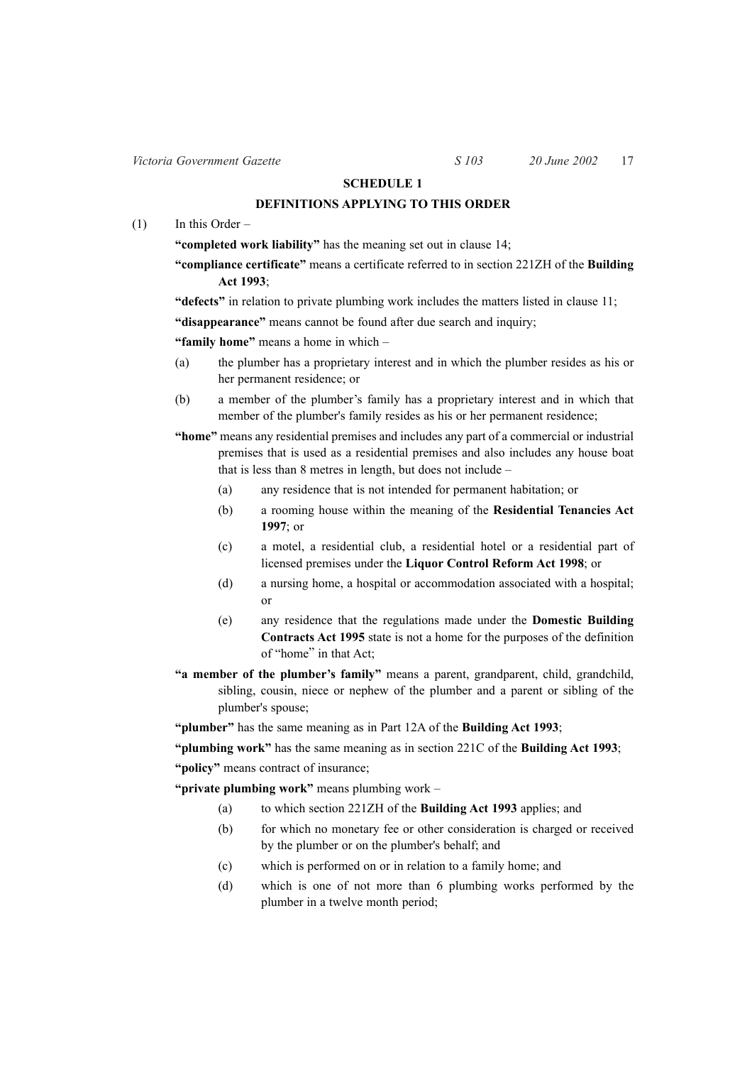*Victoria Government Gazette S 103 20 June 2002* 17

#### **SCHEDULE 1**

### **DEFINITIONS APPLYING TO THIS ORDER**

(1) In this Order –

**"completed work liability"** has the meaning set out in clause 14;

**"compliance certificate"** means a certificate referred to in section 221ZH of the **Building Act 1993**;

**"defects"** in relation to private plumbing work includes the matters listed in clause 11;

**"disappearance"** means cannot be found after due search and inquiry;

**"family home"** means a home in which –

- (a) the plumber has a proprietary interest and in which the plumber resides as his or her permanent residence; or
- (b) a member of the plumber's family has a proprietary interest and in which that member of the plumber's family resides as his or her permanent residence;

**"home"** means any residential premises and includes any part of a commercial or industrial premises that is used as a residential premises and also includes any house boat that is less than 8 metres in length, but does not include –

- (a) any residence that is not intended for permanent habitation; or
- (b) a rooming house within the meaning of the **Residential Tenancies Act 1997**; or
- (c) a motel, a residential club, a residential hotel or a residential part of licensed premises under the **Liquor Control Reform Act 1998**; or
- (d) a nursing home, a hospital or accommodation associated with a hospital; or
- (e) any residence that the regulations made under the **Domestic Building Contracts Act 1995** state is not a home for the purposes of the definition of "home" in that Act;
- **"a member of the plumber's family"** means a parent, grandparent, child, grandchild, sibling, cousin, niece or nephew of the plumber and a parent or sibling of the plumber's spouse;

**"plumber"** has the same meaning as in Part 12A of the **Building Act 1993**;

**"plumbing work"** has the same meaning as in section 221C of the **Building Act 1993**; **"policy"** means contract of insurance;

**"private plumbing work"** means plumbing work –

- (a) to which section 221ZH of the **Building Act 1993** applies; and
- (b) for which no monetary fee or other consideration is charged or received by the plumber or on the plumber's behalf; and
- (c) which is performed on or in relation to a family home; and
- (d) which is one of not more than 6 plumbing works performed by the plumber in a twelve month period;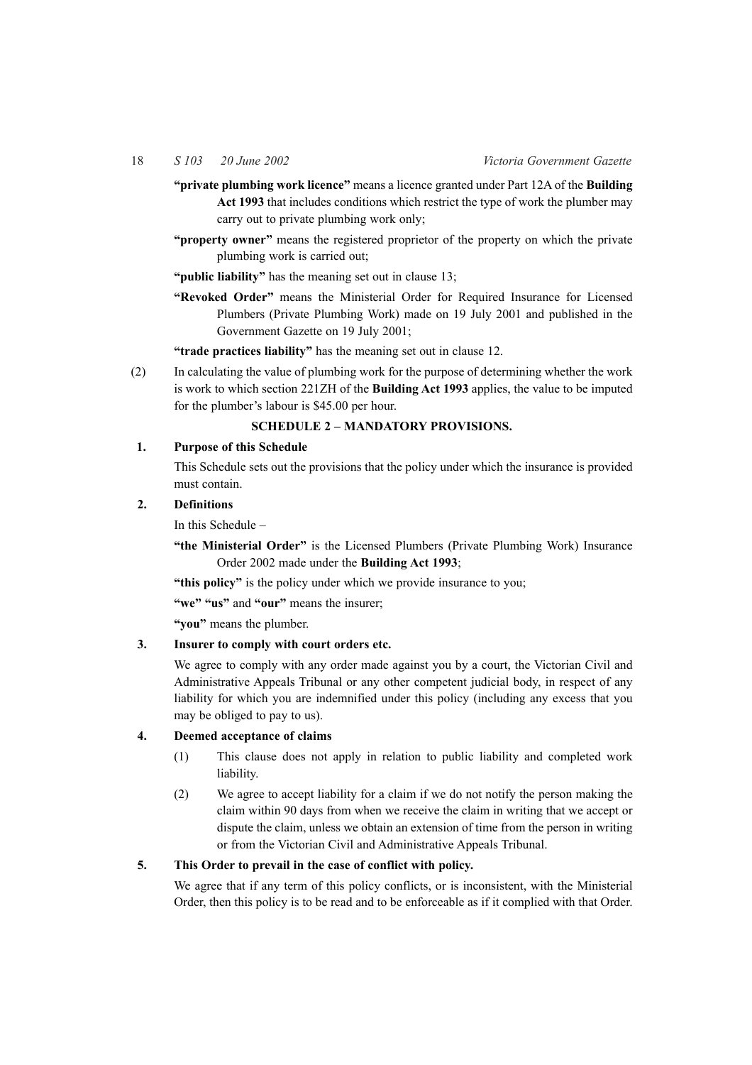- **"private plumbing work licence"** means a licence granted under Part 12A of the **Building Act 1993** that includes conditions which restrict the type of work the plumber may carry out to private plumbing work only;
- **"property owner"** means the registered proprietor of the property on which the private plumbing work is carried out;

**"public liability"** has the meaning set out in clause 13;

**"Revoked Order"** means the Ministerial Order for Required Insurance for Licensed Plumbers (Private Plumbing Work) made on 19 July 2001 and published in the Government Gazette on 19 July 2001;

**"trade practices liability"** has the meaning set out in clause 12.

(2) In calculating the value of plumbing work for the purpose of determining whether the work is work to which section 221ZH of the **Building Act 1993** applies, the value to be imputed for the plumber's labour is \$45.00 per hour.

#### **SCHEDULE 2 – MANDATORY PROVISIONS.**

#### **11. Purpose of this Schedule**

This Schedule sets out the provisions that the policy under which the insurance is provided must contain.

#### **12. Definitions**

In this Schedule –

**"the Ministerial Order"** is the Licensed Plumbers (Private Plumbing Work) Insurance Order 2002 made under the **Building Act 1993**;

**"this policy"** is the policy under which we provide insurance to you;

**"we" "us"** and **"our"** means the insurer;

**"you"** means the plumber.

#### **13. Insurer to comply with court orders etc.**

We agree to comply with any order made against you by a court, the Victorian Civil and Administrative Appeals Tribunal or any other competent judicial body, in respect of any liability for which you are indemnified under this policy (including any excess that you may be obliged to pay to us).

#### **14. Deemed acceptance of claims**

- (1) This clause does not apply in relation to public liability and completed work liability.
- (2) We agree to accept liability for a claim if we do not notify the person making the claim within 90 days from when we receive the claim in writing that we accept or dispute the claim, unless we obtain an extension of time from the person in writing or from the Victorian Civil and Administrative Appeals Tribunal.

#### **15. This Order to prevail in the case of conflict with policy.**

We agree that if any term of this policy conflicts, or is inconsistent, with the Ministerial Order, then this policy is to be read and to be enforceable as if it complied with that Order.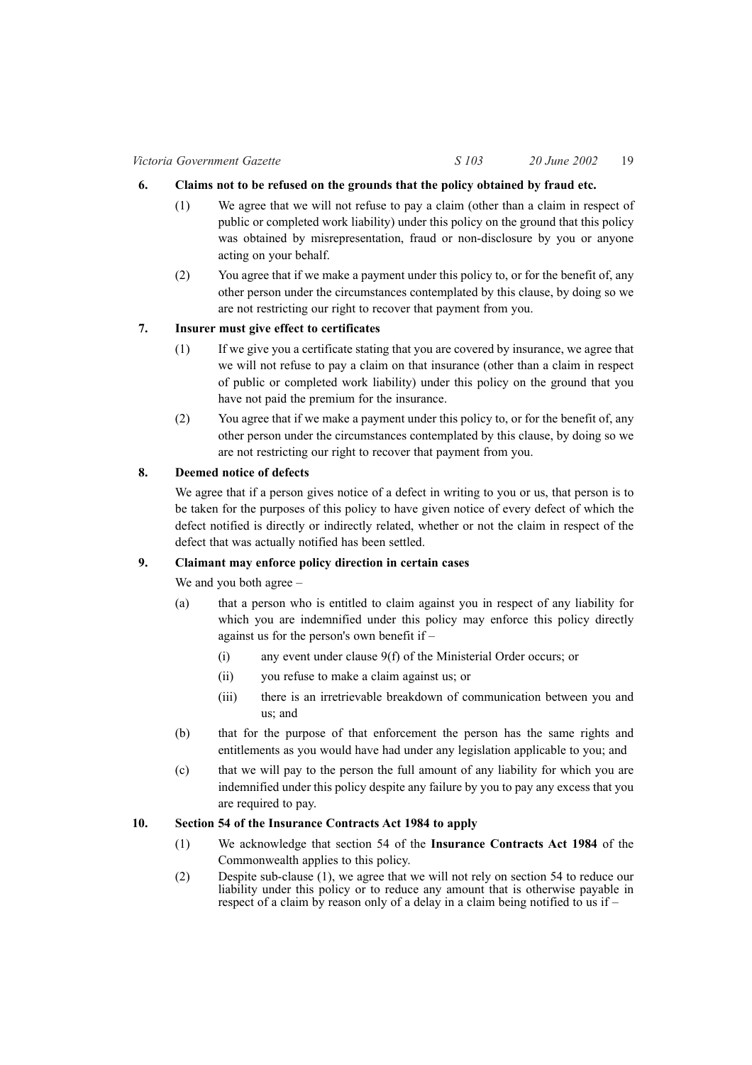#### **16. Claims not to be refused on the grounds that the policy obtained by fraud etc.**

- (1) We agree that we will not refuse to pay a claim (other than a claim in respect of public or completed work liability) under this policy on the ground that this policy was obtained by misrepresentation, fraud or non-disclosure by you or anyone acting on your behalf.
- (2) You agree that if we make a payment under this policy to, or for the benefit of, any other person under the circumstances contemplated by this clause, by doing so we are not restricting our right to recover that payment from you.

#### **17. Insurer must give effect to certificates**

- (1) If we give you a certificate stating that you are covered by insurance, we agree that we will not refuse to pay a claim on that insurance (other than a claim in respect of public or completed work liability) under this policy on the ground that you have not paid the premium for the insurance.
- (2) You agree that if we make a payment under this policy to, or for the benefit of, any other person under the circumstances contemplated by this clause, by doing so we are not restricting our right to recover that payment from you.

#### **18. Deemed notice of defects**

We agree that if a person gives notice of a defect in writing to you or us, that person is to be taken for the purposes of this policy to have given notice of every defect of which the defect notified is directly or indirectly related, whether or not the claim in respect of the defect that was actually notified has been settled.

#### **19. Claimant may enforce policy direction in certain cases**

We and you both agree –

- (a) that a person who is entitled to claim against you in respect of any liability for which you are indemnified under this policy may enforce this policy directly against us for the person's own benefit if –
	- (i) any event under clause 9(f) of the Ministerial Order occurs; or
	- (ii) you refuse to make a claim against us; or
	- (iii) there is an irretrievable breakdown of communication between you and us; and
- (b) that for the purpose of that enforcement the person has the same rights and entitlements as you would have had under any legislation applicable to you; and
- (c) that we will pay to the person the full amount of any liability for which you are indemnified under this policy despite any failure by you to pay any excess that you are required to pay.

#### **10. Section 54 of the Insurance Contracts Act 1984 to apply**

- (1) We acknowledge that section 54 of the **Insurance Contracts Act 1984** of the Commonwealth applies to this policy.
- (2) Despite sub-clause (1), we agree that we will not rely on section 54 to reduce our liability under this policy or to reduce any amount that is otherwise payable in respect of a claim by reason only of a delay in a claim being notified to us if –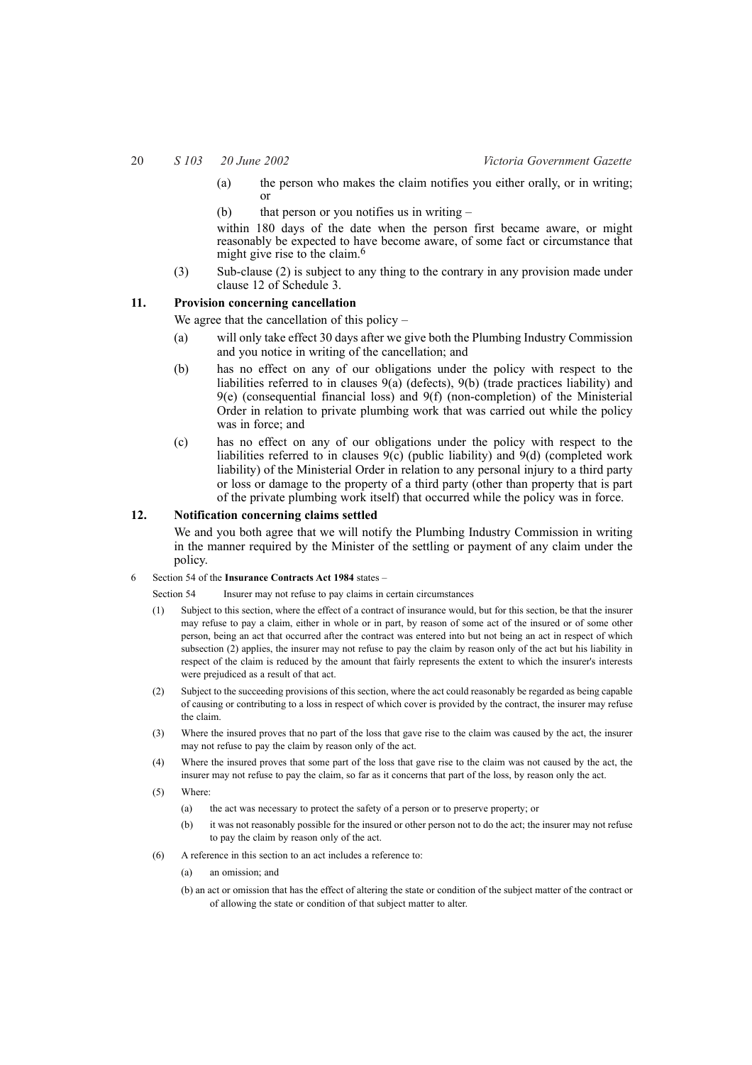- (a) the person who makes the claim notifies you either orally, or in writing; or
- (b) that person or you notifies us in writing –

within 180 days of the date when the person first became aware, or might reasonably be expected to have become aware, of some fact or circumstance that might give rise to the claim.6

(3) Sub-clause (2) is subject to any thing to the contrary in any provision made under clause 12 of Schedule 3.

#### **11. Provision concerning cancellation**

We agree that the cancellation of this policy –

- (a) will only take effect 30 days after we give both the Plumbing Industry Commission and you notice in writing of the cancellation; and
- (b) has no effect on any of our obligations under the policy with respect to the liabilities referred to in clauses 9(a) (defects), 9(b) (trade practices liability) and 9(e) (consequential financial loss) and 9(f) (non-completion) of the Ministerial Order in relation to private plumbing work that was carried out while the policy was in force; and
- (c) has no effect on any of our obligations under the policy with respect to the liabilities referred to in clauses  $9(c)$  (public liability) and  $9(d)$  (completed work liability) of the Ministerial Order in relation to any personal injury to a third party or loss or damage to the property of a third party (other than property that is part of the private plumbing work itself) that occurred while the policy was in force.

#### **12. Notification concerning claims settled**

We and you both agree that we will notify the Plumbing Industry Commission in writing in the manner required by the Minister of the settling or payment of any claim under the policy.

#### 6 Section 54 of the **Insurance Contracts Act 1984** states –

- Section 54 Insurer may not refuse to pay claims in certain circumstances
- (1) Subject to this section, where the effect of a contract of insurance would, but for this section, be that the insurer may refuse to pay a claim, either in whole or in part, by reason of some act of the insured or of some other person, being an act that occurred after the contract was entered into but not being an act in respect of which subsection (2) applies, the insurer may not refuse to pay the claim by reason only of the act but his liability in respect of the claim is reduced by the amount that fairly represents the extent to which the insurer's interests were prejudiced as a result of that act.
- (2) Subject to the succeeding provisions of this section, where the act could reasonably be regarded as being capable of causing or contributing to a loss in respect of which cover is provided by the contract, the insurer may refuse the claim.
- (3) Where the insured proves that no part of the loss that gave rise to the claim was caused by the act, the insurer may not refuse to pay the claim by reason only of the act.
- (4) Where the insured proves that some part of the loss that gave rise to the claim was not caused by the act, the insurer may not refuse to pay the claim, so far as it concerns that part of the loss, by reason only the act.
- (5) Where:
	- (a) the act was necessary to protect the safety of a person or to preserve property; or
	- (b) it was not reasonably possible for the insured or other person not to do the act; the insurer may not refuse to pay the claim by reason only of the act.
- (6) A reference in this section to an act includes a reference to:
	- (a) an omission; and
	- (b) an act or omission that has the effect of altering the state or condition of the subject matter of the contract or of allowing the state or condition of that subject matter to alter.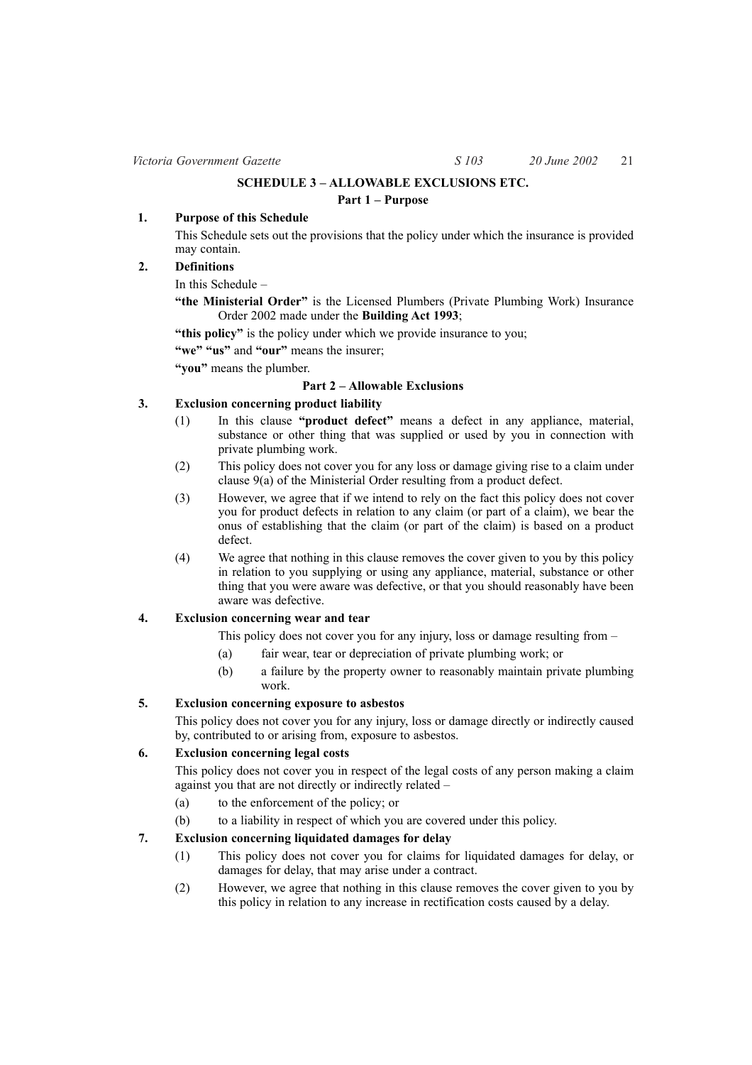#### *Victoria Government Gazette S 103 20 June 2002* 21

## **SCHEDULE 3 – ALLOWABLE EXCLUSIONS ETC.**

### **Part 1 – Purpose**

### **11. Purpose of this Schedule**

This Schedule sets out the provisions that the policy under which the insurance is provided may contain.

#### **12. Definitions**

In this Schedule –

**"the Ministerial Order"** is the Licensed Plumbers (Private Plumbing Work) Insurance Order 2002 made under the **Building Act 1993**;

**"this policy"** is the policy under which we provide insurance to you;

**"we" "us"** and **"our"** means the insurer;

**"you"** means the plumber.

#### **Part 2 – Allowable Exclusions**

#### **13. Exclusion concerning product liability**

- (1) In this clause **"product defect"** means a defect in any appliance, material, substance or other thing that was supplied or used by you in connection with private plumbing work.
- (2) This policy does not cover you for any loss or damage giving rise to a claim under clause 9(a) of the Ministerial Order resulting from a product defect.
- (3) However, we agree that if we intend to rely on the fact this policy does not cover you for product defects in relation to any claim (or part of a claim), we bear the onus of establishing that the claim (or part of the claim) is based on a product defect.
- (4) We agree that nothing in this clause removes the cover given to you by this policy in relation to you supplying or using any appliance, material, substance or other thing that you were aware was defective, or that you should reasonably have been aware was defective.

### **14. Exclusion concerning wear and tear**

This policy does not cover you for any injury, loss or damage resulting from –

- (a) fair wear, tear or depreciation of private plumbing work; or
- (b) a failure by the property owner to reasonably maintain private plumbing work.

#### **15. Exclusion concerning exposure to asbestos**

This policy does not cover you for any injury, loss or damage directly or indirectly caused by, contributed to or arising from, exposure to asbestos.

#### **16. Exclusion concerning legal costs**

This policy does not cover you in respect of the legal costs of any person making a claim against you that are not directly or indirectly related –

- (a) to the enforcement of the policy; or
- (b) to a liability in respect of which you are covered under this policy.

#### **17. Exclusion concerning liquidated damages for delay**

- (1) This policy does not cover you for claims for liquidated damages for delay, or damages for delay, that may arise under a contract.
- (2) However, we agree that nothing in this clause removes the cover given to you by this policy in relation to any increase in rectification costs caused by a delay.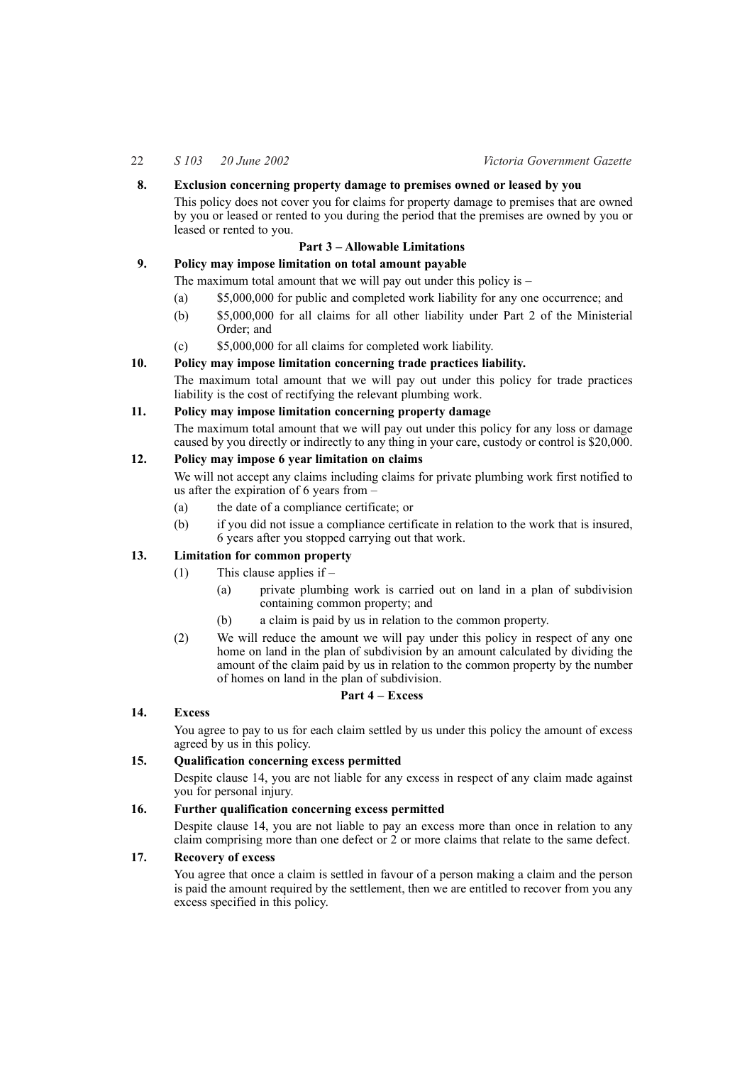#### **18. Exclusion concerning property damage to premises owned or leased by you**

This policy does not cover you for claims for property damage to premises that are owned by you or leased or rented to you during the period that the premises are owned by you or leased or rented to you.

#### **Part 3 – Allowable Limitations**

#### **19. Policy may impose limitation on total amount payable**

- The maximum total amount that we will pay out under this policy is  $-$
- (a) \$5,000,000 for public and completed work liability for any one occurrence; and
- (b) \$5,000,000 for all claims for all other liability under Part 2 of the Ministerial Order; and
- (c) \$5,000,000 for all claims for completed work liability.

#### **10. Policy may impose limitation concerning trade practices liability.**

The maximum total amount that we will pay out under this policy for trade practices liability is the cost of rectifying the relevant plumbing work.

#### **11. Policy may impose limitation concerning property damage**

The maximum total amount that we will pay out under this policy for any loss or damage caused by you directly or indirectly to any thing in your care, custody or control is \$20,000.

### **12. Policy may impose 6 year limitation on claims**

We will not accept any claims including claims for private plumbing work first notified to us after the expiration of 6 years from –

- (a) the date of a compliance certificate; or
- (b) if you did not issue a compliance certificate in relation to the work that is insured, 6 years after you stopped carrying out that work.

#### **13. Limitation for common property**

- (1) This clause applies if
	- (a) private plumbing work is carried out on land in a plan of subdivision containing common property; and
	- (b) a claim is paid by us in relation to the common property.
- (2) We will reduce the amount we will pay under this policy in respect of any one home on land in the plan of subdivision by an amount calculated by dividing the amount of the claim paid by us in relation to the common property by the number of homes on land in the plan of subdivision.

#### **Part 4 – Excess**

#### **14. Excess**

You agree to pay to us for each claim settled by us under this policy the amount of excess agreed by us in this policy.

#### **15. Qualification concerning excess permitted**

Despite clause 14, you are not liable for any excess in respect of any claim made against you for personal injury.

#### **16. Further qualification concerning excess permitted**

Despite clause 14, you are not liable to pay an excess more than once in relation to any claim comprising more than one defect or 2 or more claims that relate to the same defect.

#### **17. Recovery of excess**

You agree that once a claim is settled in favour of a person making a claim and the person is paid the amount required by the settlement, then we are entitled to recover from you any excess specified in this policy.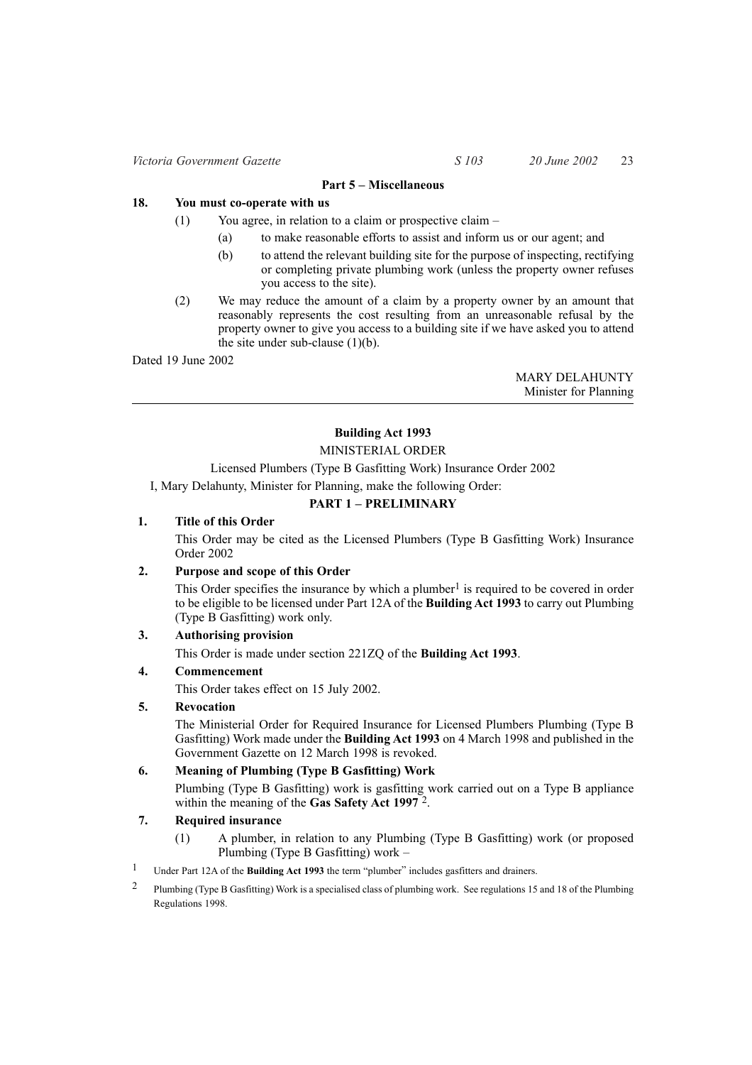#### *Victoria Government Gazette S 103 20 June 2002* 23

#### **Part 5 – Miscellaneous**

#### **18. You must co-operate with us**

- (1) You agree, in relation to a claim or prospective claim
	- (a) to make reasonable efforts to assist and inform us or our agent; and
	- (b) to attend the relevant building site for the purpose of inspecting, rectifying or completing private plumbing work (unless the property owner refuses you access to the site).
- (2) We may reduce the amount of a claim by a property owner by an amount that reasonably represents the cost resulting from an unreasonable refusal by the property owner to give you access to a building site if we have asked you to attend the site under sub-clause (1)(b).

Dated 19 June 2002

MARY DELAHUNTY Minister for Planning

#### **Building Act 1993**

### MINISTERIAL ORDER

Licensed Plumbers (Type B Gasfitting Work) Insurance Order 2002

I, Mary Delahunty, Minister for Planning, make the following Order:

### **PART 1 – PRELIMINARY**

#### **11. Title of this Order**

This Order may be cited as the Licensed Plumbers (Type B Gasfitting Work) Insurance Order 2002

#### **12. Purpose and scope of this Order**

This Order specifies the insurance by which a plumber<sup>1</sup> is required to be covered in order to be eligible to be licensed under Part 12A of the **Building Act 1993** to carry out Plumbing (Type B Gasfitting) work only.

#### **13. Authorising provision**

This Order is made under section 221ZQ of the **Building Act 1993**.

#### **14. Commencement**

This Order takes effect on 15 July 2002.

#### **15. Revocation**

The Ministerial Order for Required Insurance for Licensed Plumbers Plumbing (Type B Gasfitting) Work made under the **Building Act 1993** on 4 March 1998 and published in the Government Gazette on 12 March 1998 is revoked.

#### **16. Meaning of Plumbing (Type B Gasfitting) Work**

Plumbing (Type B Gasfitting) work is gasfitting work carried out on a Type B appliance within the meaning of the **Gas Safety Act 1997** 2.

#### **17. Required insurance**

- (1) A plumber, in relation to any Plumbing (Type B Gasfitting) work (or proposed Plumbing (Type B Gasfitting) work –
- 1 Under Part 12A of the **Building Act 1993** the term "plumber" includes gasfitters and drainers.
- 2 Plumbing (Type B Gasfitting) Work is a specialised class of plumbing work. See regulations 15 and 18 of the Plumbing Regulations 1998.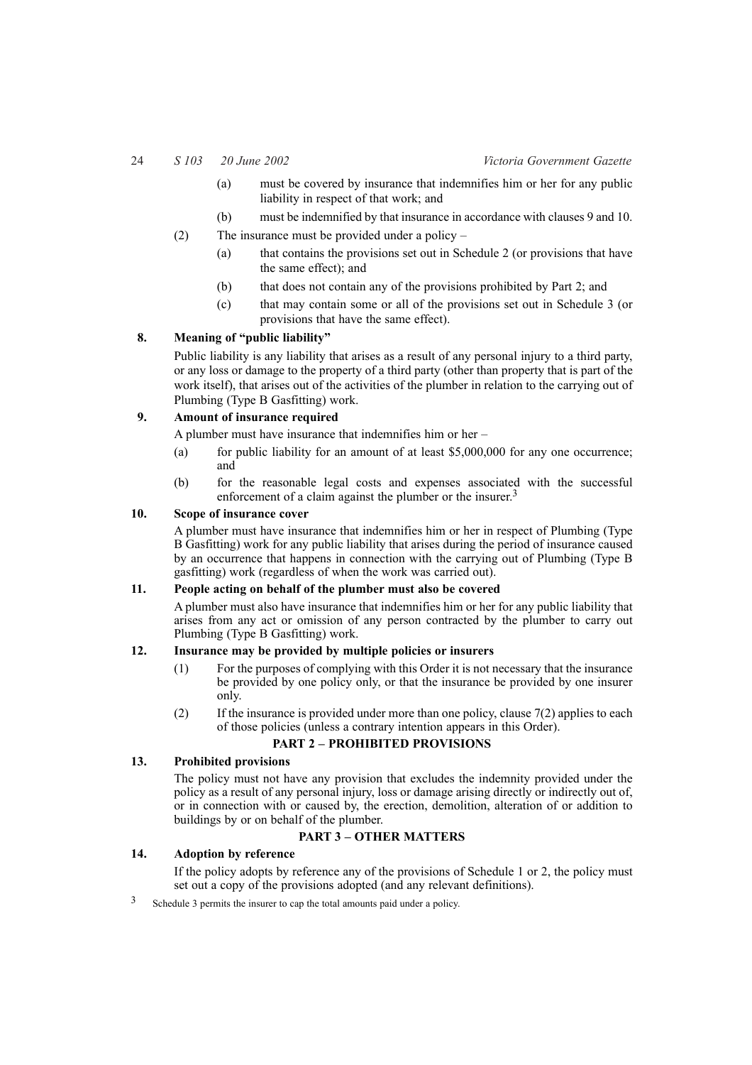- (a) must be covered by insurance that indemnifies him or her for any public liability in respect of that work; and
- (b) must be indemnified by that insurance in accordance with clauses 9 and 10.
- (2) The insurance must be provided under a policy
	- (a) that contains the provisions set out in Schedule 2 (or provisions that have the same effect); and
	- (b) that does not contain any of the provisions prohibited by Part 2; and
	- (c) that may contain some or all of the provisions set out in Schedule 3 (or provisions that have the same effect).

#### **18. Meaning of "public liability"**

Public liability is any liability that arises as a result of any personal injury to a third party, or any loss or damage to the property of a third party (other than property that is part of the work itself), that arises out of the activities of the plumber in relation to the carrying out of Plumbing (Type B Gasfitting) work.

#### **19. Amount of insurance required**

A plumber must have insurance that indemnifies him or her –

- (a) for public liability for an amount of at least  $$5,000,000$  for any one occurrence; and
- (b) for the reasonable legal costs and expenses associated with the successful enforcement of a claim against the plumber or the insurer.<sup>3</sup>

#### **10. Scope of insurance cover**

A plumber must have insurance that indemnifies him or her in respect of Plumbing (Type B Gasfitting) work for any public liability that arises during the period of insurance caused by an occurrence that happens in connection with the carrying out of Plumbing (Type B gasfitting) work (regardless of when the work was carried out).

#### **11. People acting on behalf of the plumber must also be covered**

A plumber must also have insurance that indemnifies him or her for any public liability that arises from any act or omission of any person contracted by the plumber to carry out Plumbing (Type B Gasfitting) work.

#### **12. Insurance may be provided by multiple policies or insurers**

- (1) For the purposes of complying with this Order it is not necessary that the insurance be provided by one policy only, or that the insurance be provided by one insurer only.
- (2) If the insurance is provided under more than one policy, clause 7(2) applies to each of those policies (unless a contrary intention appears in this Order).

#### **PART 2 – PROHIBITED PROVISIONS**

#### **13. Prohibited provisions**

The policy must not have any provision that excludes the indemnity provided under the policy as a result of any personal injury, loss or damage arising directly or indirectly out of, or in connection with or caused by, the erection, demolition, alteration of or addition to buildings by or on behalf of the plumber.

### **PART 3 – OTHER MATTERS**

#### **14. Adoption by reference**

If the policy adopts by reference any of the provisions of Schedule 1 or 2, the policy must set out a copy of the provisions adopted (and any relevant definitions).

3 Schedule 3 permits the insurer to cap the total amounts paid under a policy.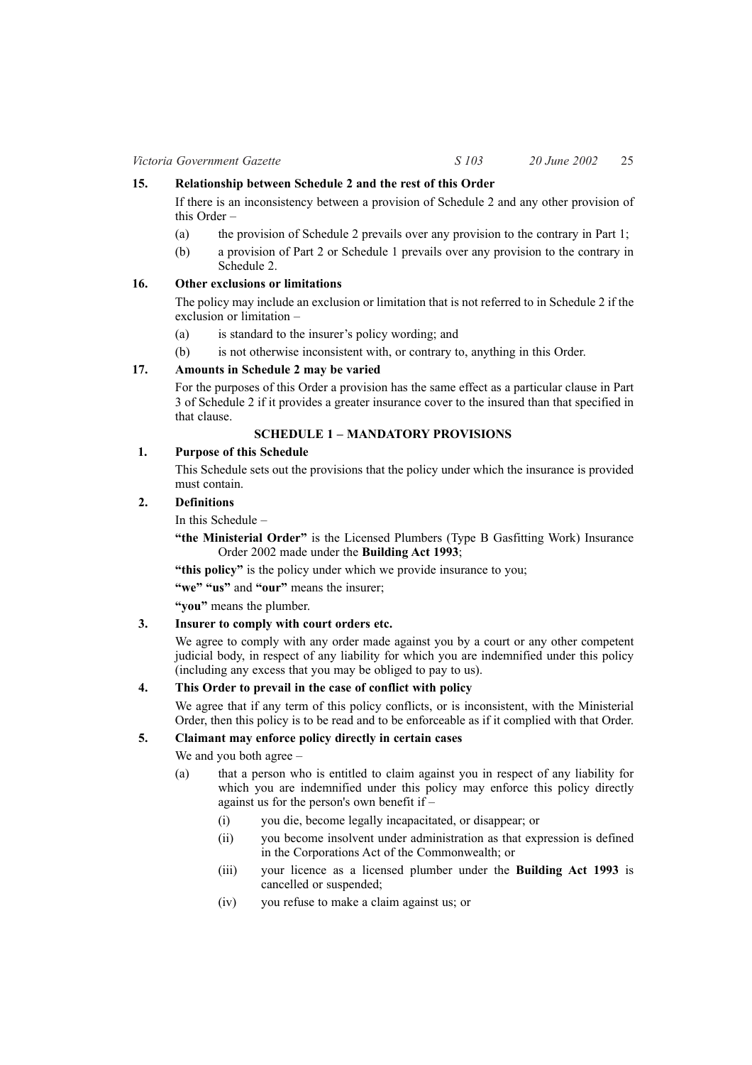#### *Victoria Government Gazette S 103 20 June 2002* 25

#### **15. Relationship between Schedule 2 and the rest of this Order**

If there is an inconsistency between a provision of Schedule 2 and any other provision of this Order –

- (a) the provision of Schedule 2 prevails over any provision to the contrary in Part 1;
- (b) a provision of Part 2 or Schedule 1 prevails over any provision to the contrary in Schedule 2.

#### **16. Other exclusions or limitations**

The policy may include an exclusion or limitation that is not referred to in Schedule 2 if the exclusion or limitation –

- (a) is standard to the insurer's policy wording; and
- (b) is not otherwise inconsistent with, or contrary to, anything in this Order.

#### **17. Amounts in Schedule 2 may be varied**

For the purposes of this Order a provision has the same effect as a particular clause in Part 3 of Schedule 2 if it provides a greater insurance cover to the insured than that specified in that clause.

#### **SCHEDULE 1 – MANDATORY PROVISIONS**

#### **11. Purpose of this Schedule**

This Schedule sets out the provisions that the policy under which the insurance is provided must contain.

#### **12. Definitions**

In this Schedule –

**"the Ministerial Order"** is the Licensed Plumbers (Type B Gasfitting Work) Insurance Order 2002 made under the **Building Act 1993**;

"this policy" is the policy under which we provide insurance to you;

**"we" "us"** and **"our"** means the insurer;

**"you"** means the plumber.

#### **13. Insurer to comply with court orders etc.**

We agree to comply with any order made against you by a court or any other competent judicial body, in respect of any liability for which you are indemnified under this policy (including any excess that you may be obliged to pay to us).

#### **14. This Order to prevail in the case of conflict with policy**

We agree that if any term of this policy conflicts, or is inconsistent, with the Ministerial Order, then this policy is to be read and to be enforceable as if it complied with that Order.

#### **15. Claimant may enforce policy directly in certain cases**

We and you both agree –

- (a) that a person who is entitled to claim against you in respect of any liability for which you are indemnified under this policy may enforce this policy directly against us for the person's own benefit if –
	- (i) you die, become legally incapacitated, or disappear; or
	- (ii) you become insolvent under administration as that expression is defined in the Corporations Act of the Commonwealth; or
	- (iii) your licence as a licensed plumber under the **Building Act 1993** is cancelled or suspended;
	- (iv) you refuse to make a claim against us; or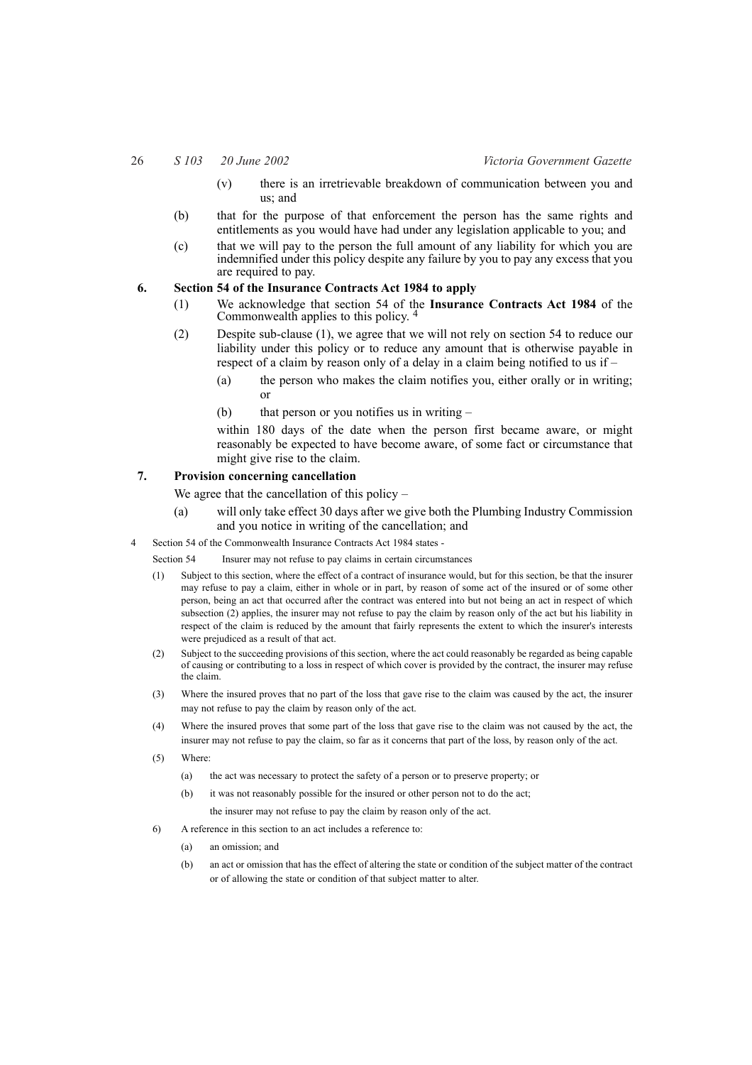- (v) there is an irretrievable breakdown of communication between you and us; and
- (b) that for the purpose of that enforcement the person has the same rights and entitlements as you would have had under any legislation applicable to you; and
- (c) that we will pay to the person the full amount of any liability for which you are indemnified under this policy despite any failure by you to pay any excess that you are required to pay.

#### **16. Section 54 of the Insurance Contracts Act 1984 to apply**

- (1) We acknowledge that section 54 of the **Insurance Contracts Act 1984** of the Commonwealth applies to this policy. <sup>4</sup>
- (2) Despite sub-clause (1), we agree that we will not rely on section 54 to reduce our liability under this policy or to reduce any amount that is otherwise payable in respect of a claim by reason only of a delay in a claim being notified to us if –
	- (a) the person who makes the claim notifies you, either orally or in writing; or
	- (b) that person or you notifies us in writing  $-$

within 180 days of the date when the person first became aware, or might reasonably be expected to have become aware, of some fact or circumstance that might give rise to the claim.

#### **17. Provision concerning cancellation**

We agree that the cancellation of this policy –

- (a) will only take effect 30 days after we give both the Plumbing Industry Commission and you notice in writing of the cancellation; and
- 4 Section 54 of the Commonwealth Insurance Contracts Act 1984 states -

Section 54 Insurer may not refuse to pay claims in certain circumstances

- (1) Subject to this section, where the effect of a contract of insurance would, but for this section, be that the insurer may refuse to pay a claim, either in whole or in part, by reason of some act of the insured or of some other person, being an act that occurred after the contract was entered into but not being an act in respect of which subsection (2) applies, the insurer may not refuse to pay the claim by reason only of the act but his liability in respect of the claim is reduced by the amount that fairly represents the extent to which the insurer's interests were prejudiced as a result of that act.
- (2) Subject to the succeeding provisions of this section, where the act could reasonably be regarded as being capable of causing or contributing to a loss in respect of which cover is provided by the contract, the insurer may refuse the claim.
- (3) Where the insured proves that no part of the loss that gave rise to the claim was caused by the act, the insurer may not refuse to pay the claim by reason only of the act.
- (4) Where the insured proves that some part of the loss that gave rise to the claim was not caused by the act, the insurer may not refuse to pay the claim, so far as it concerns that part of the loss, by reason only of the act.
- (5) Where:
	- (a) the act was necessary to protect the safety of a person or to preserve property; or
	- (b) it was not reasonably possible for the insured or other person not to do the act;

the insurer may not refuse to pay the claim by reason only of the act.

- 6) A reference in this section to an act includes a reference to:
	- (a) an omission; and
	- (b) an act or omission that has the effect of altering the state or condition of the subject matter of the contract or of allowing the state or condition of that subject matter to alter.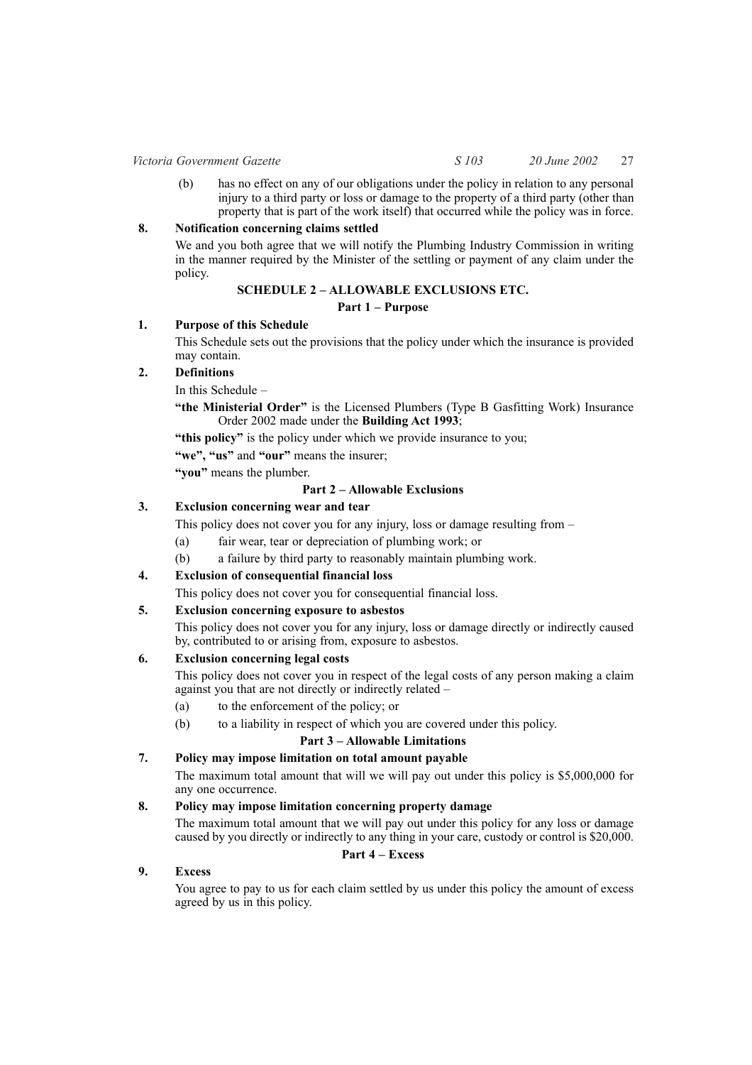(b) has no effect on any of our obligations under the policy in relation to any personal injury to a third party or loss or damage to the property of a third party (other than property that is part of the work itself) that occurred while the policy was in force.

#### **18. Notification concerning claims settled**

We and you both agree that we will notify the Plumbing Industry Commission in writing in the manner required by the Minister of the settling or payment of any claim under the policy.

#### **SCHEDULE 2 – ALLOWABLE EXCLUSIONS ETC.**

#### **Part 1 – Purpose**

#### **11. Purpose of this Schedule**

This Schedule sets out the provisions that the policy under which the insurance is provided may contain.

#### **12. Definitions**

In this Schedule –

**"the Ministerial Order"** is the Licensed Plumbers (Type B Gasfitting Work) Insurance Order 2002 made under the **Building Act 1993**;

**"this policy"** is the policy under which we provide insurance to you;

**"we", "us"** and **"our"** means the insurer;

**"you"** means the plumber.

#### **Part 2 – Allowable Exclusions**

### **13. Exclusion concerning wear and tear**

This policy does not cover you for any injury, loss or damage resulting from –

(a) fair wear, tear or depreciation of plumbing work; or

- (b) a failure by third party to reasonably maintain plumbing work.
- **14. Exclusion of consequential financial loss**

This policy does not cover you for consequential financial loss.

#### **15. Exclusion concerning exposure to asbestos**

This policy does not cover you for any injury, loss or damage directly or indirectly caused by, contributed to or arising from, exposure to asbestos.

#### **16. Exclusion concerning legal costs**

This policy does not cover you in respect of the legal costs of any person making a claim against you that are not directly or indirectly related –

- (a) to the enforcement of the policy; or
- (b) to a liability in respect of which you are covered under this policy.

#### **Part 3 – Allowable Limitations**

### **17. Policy may impose limitation on total amount payable**

The maximum total amount that will we will pay out under this policy is \$5,000,000 for any one occurrence.

#### **18. Policy may impose limitation concerning property damage**

The maximum total amount that we will pay out under this policy for any loss or damage caused by you directly or indirectly to any thing in your care, custody or control is \$20,000.

### **Part 4 – Excess**

#### **19. Excess**

You agree to pay to us for each claim settled by us under this policy the amount of excess agreed by us in this policy.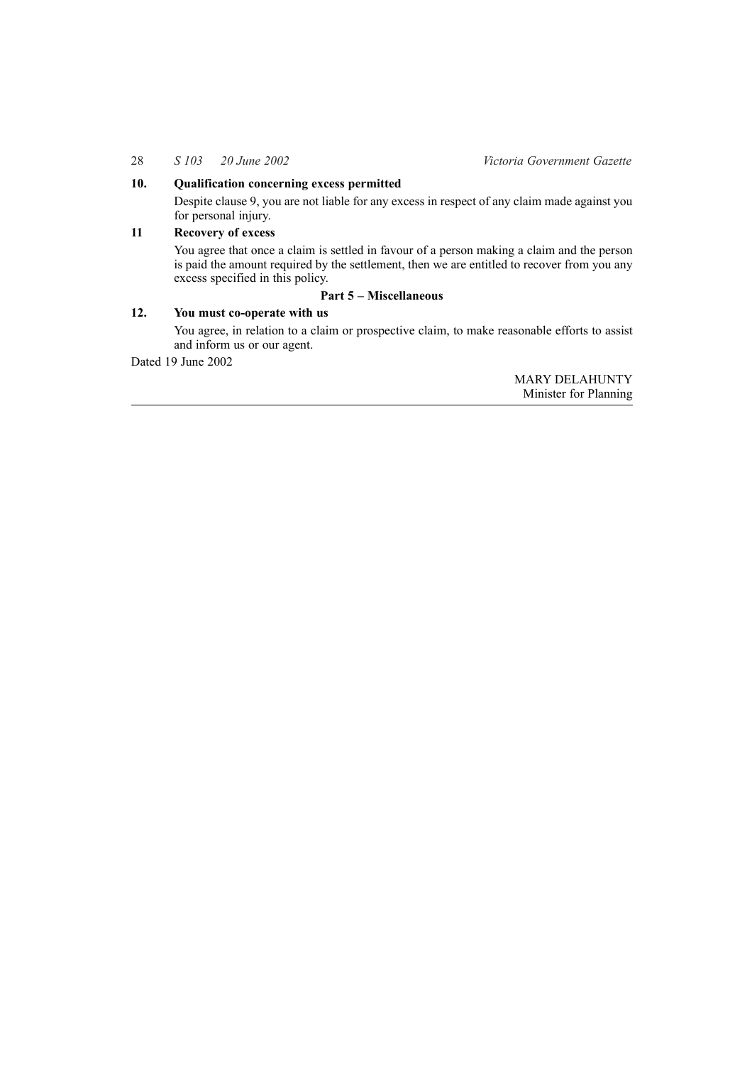#### **10. Qualification concerning excess permitted**

Despite clause 9, you are not liable for any excess in respect of any claim made against you for personal injury.

#### **11 Recovery of excess**

You agree that once a claim is settled in favour of a person making a claim and the person is paid the amount required by the settlement, then we are entitled to recover from you any excess specified in this policy.

#### **Part 5 – Miscellaneous**

#### **12. You must co-operate with us**

You agree, in relation to a claim or prospective claim, to make reasonable efforts to assist and inform us or our agent.

Dated 19 June 2002

MARY DELAHUNTY Minister for Planning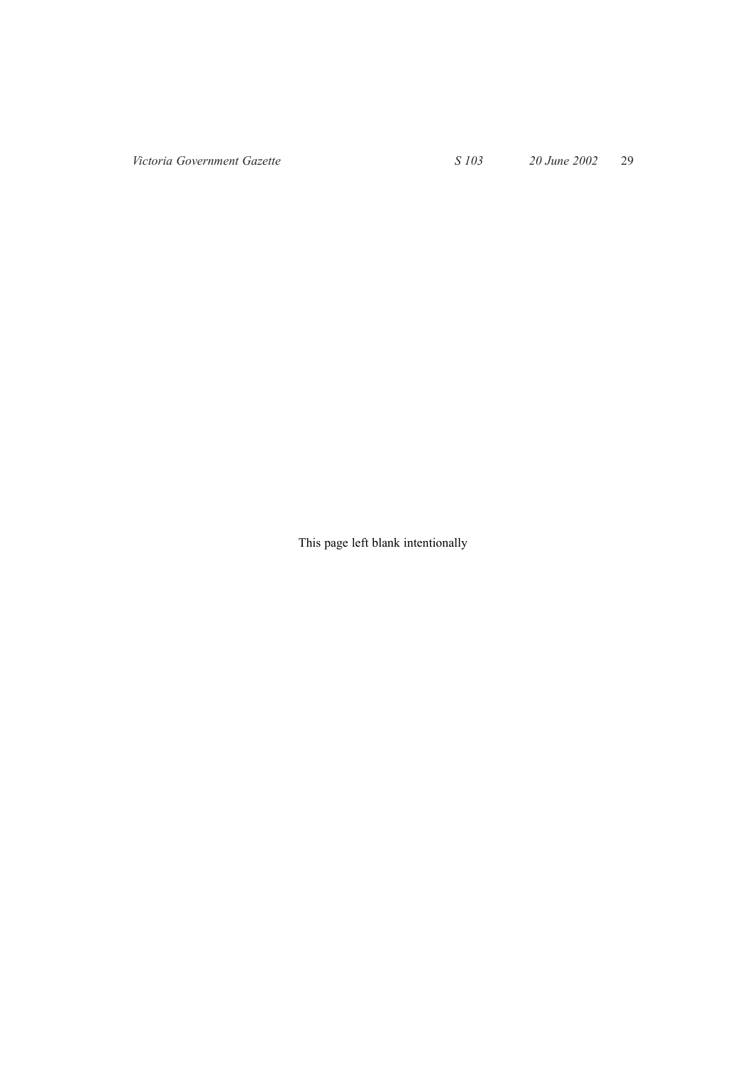This page left blank intentionally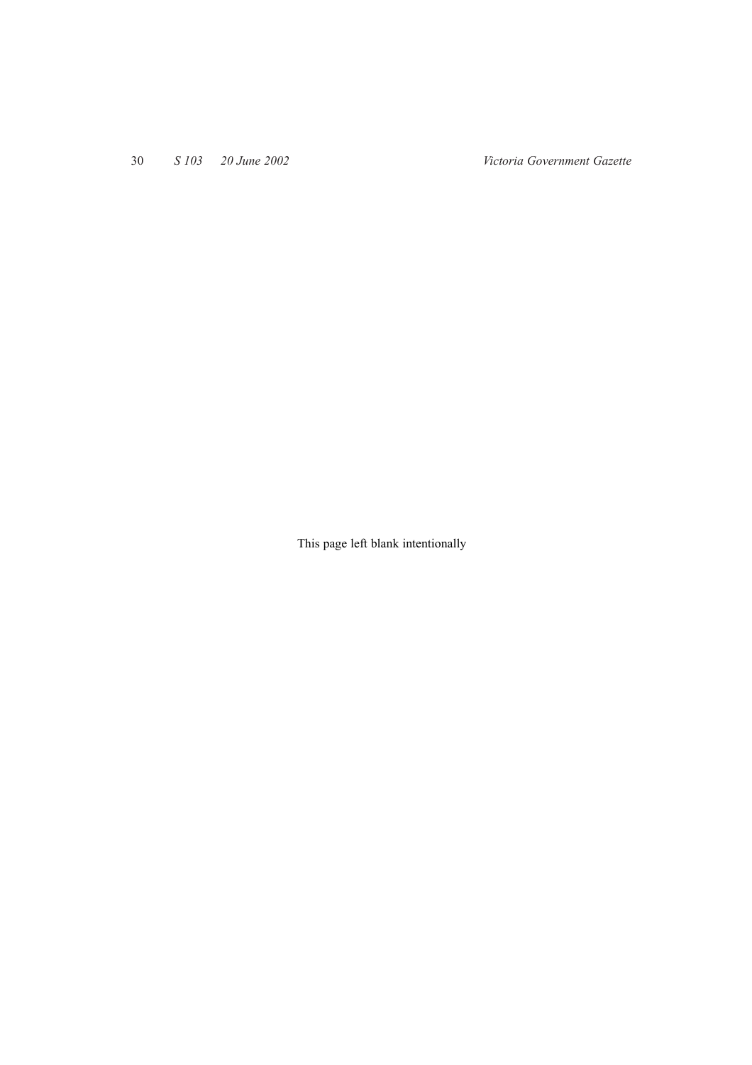This page left blank intentionally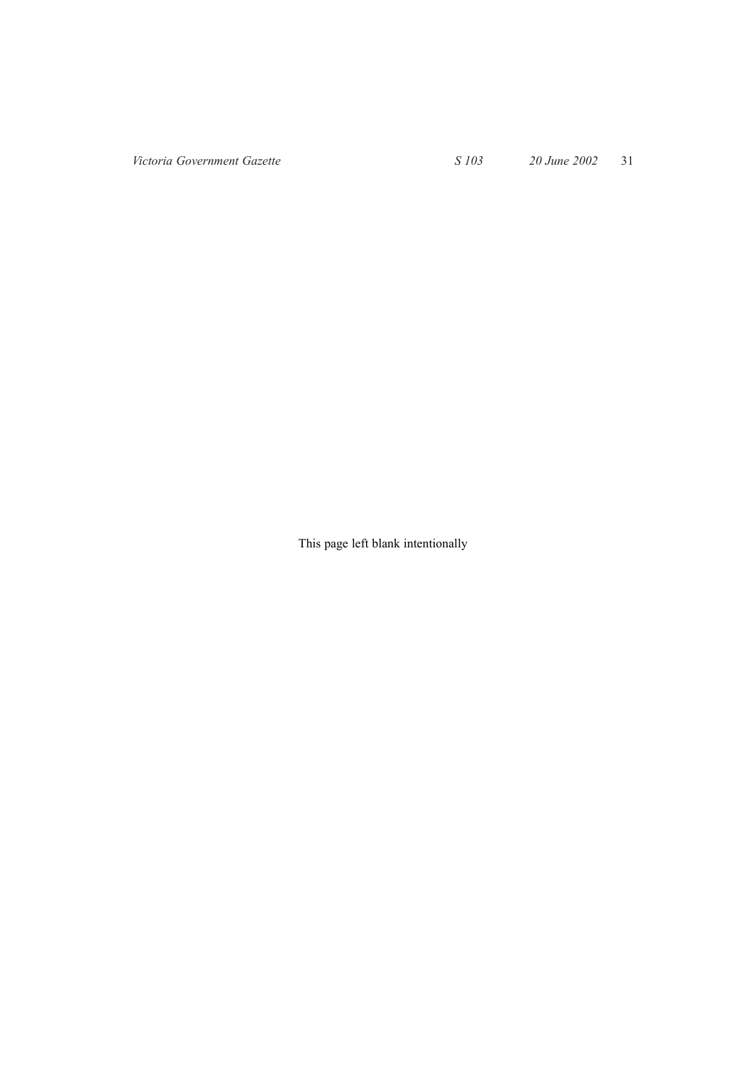This page left blank intentionally